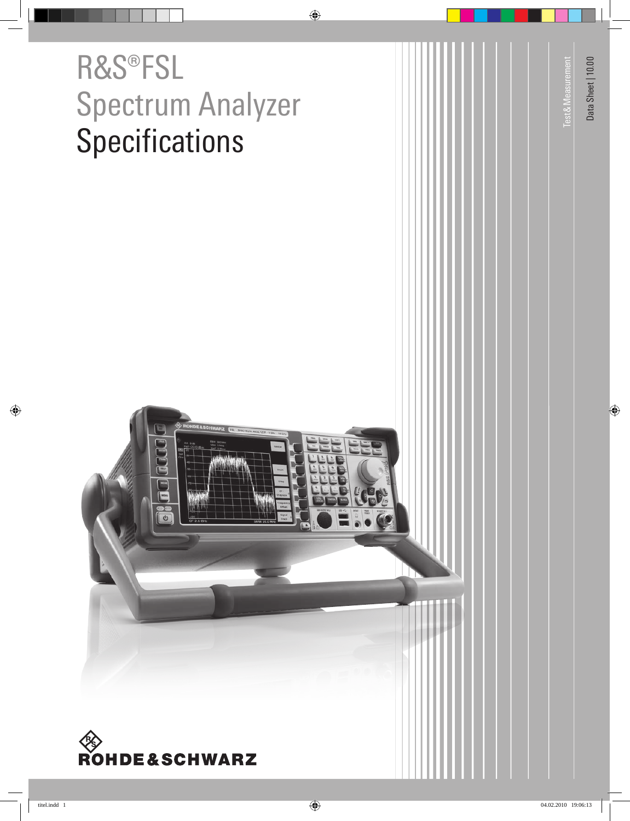# R&S®FSL Spectrum Analyzer **Specifications**





Data Sheet | 10.00 Data Sheet | 10.00

Test & Measurement

**Test & Measurement**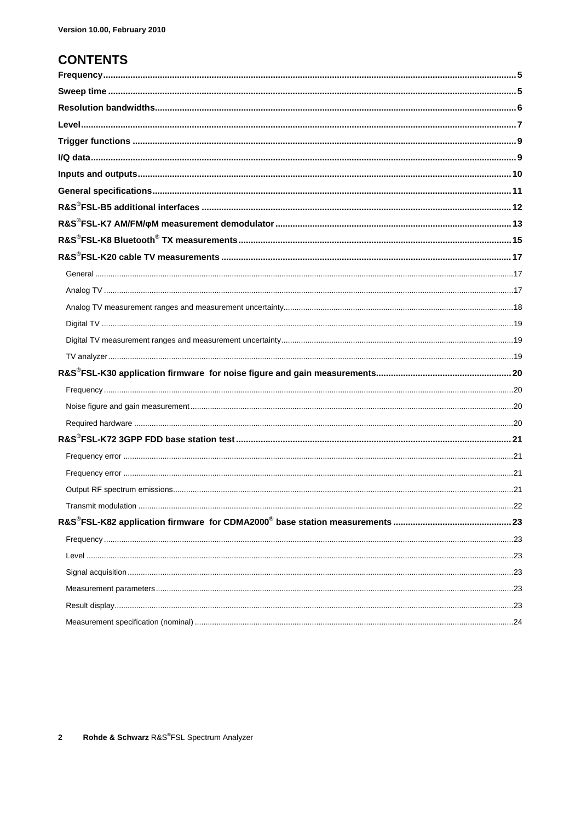### **CONTENTS**

| 22 |
|----|
|    |
|    |
|    |
|    |
|    |
|    |
|    |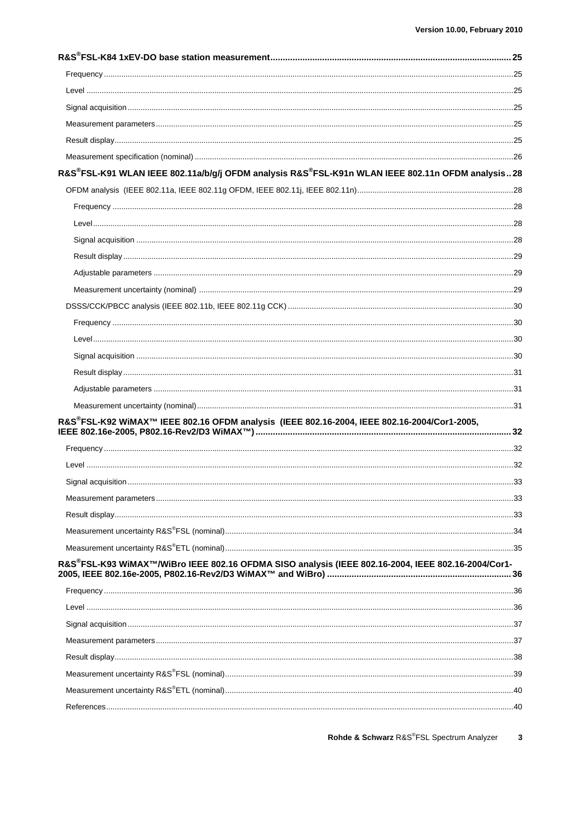| R&S®FSL-K91 WLAN IEEE 802.11a/b/g/j OFDM analysis R&S®FSL-K91n WLAN IEEE 802.11n OFDM analysis 28  |  |
|----------------------------------------------------------------------------------------------------|--|
|                                                                                                    |  |
|                                                                                                    |  |
|                                                                                                    |  |
|                                                                                                    |  |
|                                                                                                    |  |
|                                                                                                    |  |
|                                                                                                    |  |
|                                                                                                    |  |
|                                                                                                    |  |
|                                                                                                    |  |
|                                                                                                    |  |
|                                                                                                    |  |
|                                                                                                    |  |
|                                                                                                    |  |
| R&S®FSL-K92 WiMAX™ IEEE 802.16 OFDM analysis (IEEE 802.16-2004, IEEE 802.16-2004/Cor1-2005,        |  |
|                                                                                                    |  |
|                                                                                                    |  |
|                                                                                                    |  |
|                                                                                                    |  |
|                                                                                                    |  |
|                                                                                                    |  |
|                                                                                                    |  |
| R&S®FSL-K93 WiMAX™/WiBro IEEE 802.16 OFDMA SISO analysis (IEEE 802.16-2004, IEEE 802.16-2004/Cor1- |  |
|                                                                                                    |  |
|                                                                                                    |  |
|                                                                                                    |  |
|                                                                                                    |  |
|                                                                                                    |  |
|                                                                                                    |  |
|                                                                                                    |  |
|                                                                                                    |  |
|                                                                                                    |  |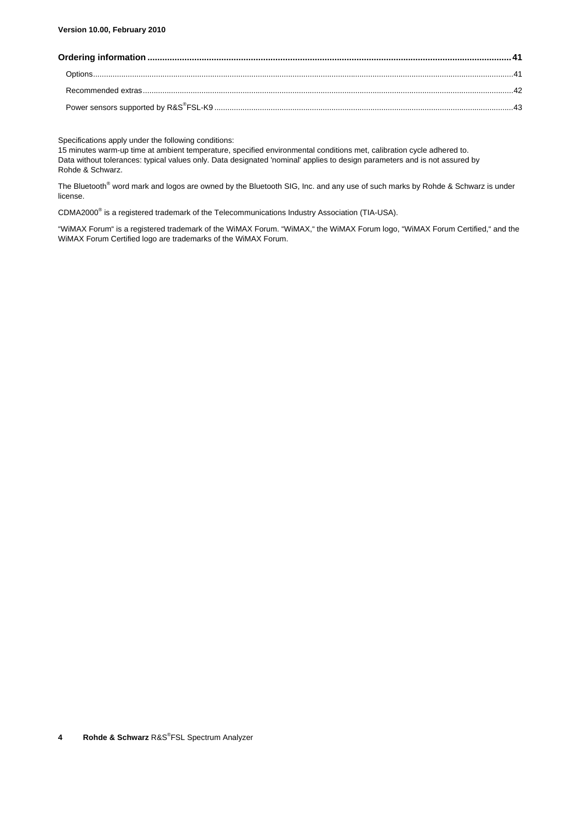#### **Version 10.00, February 2010**

Specifications apply under the following conditions:

15 minutes warm-up time at ambient temperature, specified environmental conditions met, calibration cycle adhered to. Data without tolerances: typical values only. Data designated 'nominal' applies to design parameters and is not assured by Rohde & Schwarz.

The Bluetooth<sup>®</sup> word mark and logos are owned by the Bluetooth SIG, Inc. and any use of such marks by Rohde & Schwarz is under license.

CDMA2000<sup>®</sup> is a registered trademark of the Telecommunications Industry Association (TIA-USA).

"WiMAX Forum" is a registered trademark of the WiMAX Forum. "WiMAX," the WiMAX Forum logo, "WiMAX Forum Certified," and the WiMAX Forum Certified logo are trademarks of the WiMAX Forum.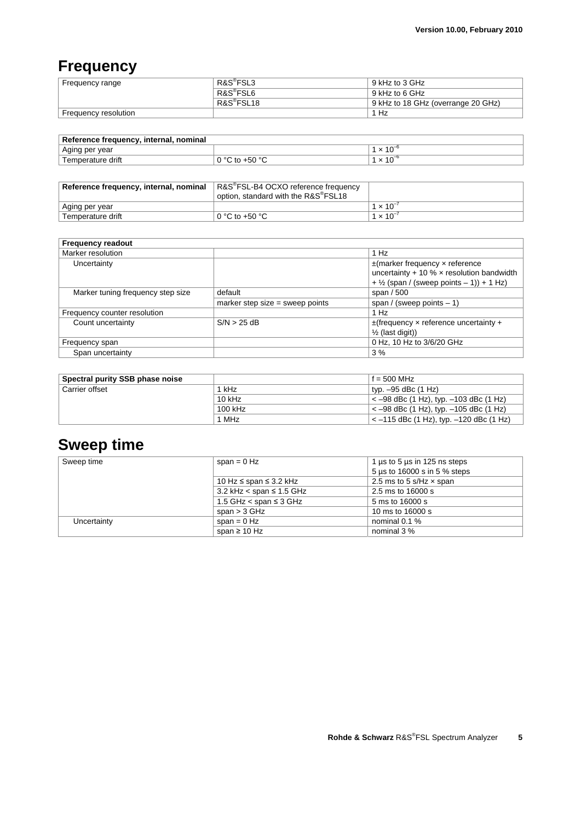## **Frequency**

| Frequency range      | R&S <sup>®</sup> FSL3  | 9 kHz to 3 GHz                     |
|----------------------|------------------------|------------------------------------|
|                      | R&S <sup>®</sup> FSL6  | 9 kHz to 6 GHz                     |
|                      | R&S <sup>®</sup> FSL18 | 9 kHz to 18 GHz (overrange 20 GHz) |
| Frequency resolution |                        | Hz                                 |

| Reference frequency, internal, nominal |                                           |                     |  |
|----------------------------------------|-------------------------------------------|---------------------|--|
| Aging per year                         |                                           | $\cdot$ × 10 $^{-}$ |  |
| Temperature drift                      | ∶ to +50 °C<br>$\cdot$ 0 $\sim$ 0 $\cdot$ | $\cdot$ × 10 $^{-}$ |  |

| Reference frequency, internal, nominal | R&S®FSL-B4 OCXO reference frequency<br>option, standard with the R&S <sup>®</sup> FSL18 |                    |
|----------------------------------------|-----------------------------------------------------------------------------------------|--------------------|
| Aging per year                         |                                                                                         | $1 \times 10^{-7}$ |
| Temperature drift                      | 0 °C to +50 °C                                                                          | $1 \times 10^{-7}$ |

| <b>Frequency readout</b>          |                                   |                                                           |
|-----------------------------------|-----------------------------------|-----------------------------------------------------------|
| Marker resolution                 |                                   | 1 Hz                                                      |
| Uncertainty                       |                                   | $\pm$ (marker frequency x reference                       |
|                                   |                                   | uncertainty + 10 % $\times$ resolution bandwidth          |
|                                   |                                   | $+$ 1/ <sub>2</sub> (span / (sweep points $-$ 1)) + 1 Hz) |
| Marker tuning frequency step size | default                           | span / 500                                                |
|                                   | marker step size $=$ sweep points | span / (sweep points $-1$ )                               |
| Frequency counter resolution      |                                   | 1 Hz                                                      |
| Count uncertainty                 | S/N > 25 dB                       | $\pm$ (frequency x reference uncertainty +                |
|                                   |                                   | $\frac{1}{2}$ (last digit))                               |
| Frequency span                    |                                   | 0 Hz, 10 Hz to 3/6/20 GHz                                 |
| Span uncertainty                  |                                   | 3%                                                        |

| Spectral purity SSB phase noise |          | $f = 500$ MHz                                    |
|---------------------------------|----------|--------------------------------------------------|
| Carrier offset                  | 1 kHz    | typ. –95 dBc (1 Hz)                              |
|                                 | $10$ kHz | $\epsilon$ -98 dBc (1 Hz), typ. -103 dBc (1 Hz)  |
|                                 | 100 kHz  | $<-98$ dBc (1 Hz), typ. $-105$ dBc (1 Hz)        |
|                                 | 1 MHz    | $\epsilon$ -115 dBc (1 Hz), typ. -120 dBc (1 Hz) |

## **Sweep time**

| Sweep time  | span = $0$ Hz                   | 1 $\mu$ s to 5 $\mu$ s in 125 ns steps |
|-------------|---------------------------------|----------------------------------------|
|             |                                 | 5 µs to 16000 s in 5 % steps           |
|             | 10 Hz ≤ span ≤ 3.2 kHz          | 2.5 ms to 5 s/Hz $\times$ span         |
|             | 3.2 kHz $<$ span $\leq$ 1.5 GHz | 2.5 ms to 16000 s                      |
|             | 1.5 GHz $<$ span $\leq$ 3 GHz   | 5 ms to 16000 s                        |
|             | span $>$ 3 GHz                  | 10 ms to 16000 s                       |
| Uncertainty | span = $0$ Hz                   | nominal 0.1 %                          |
|             | span $\geq 10$ Hz               | nominal 3 %                            |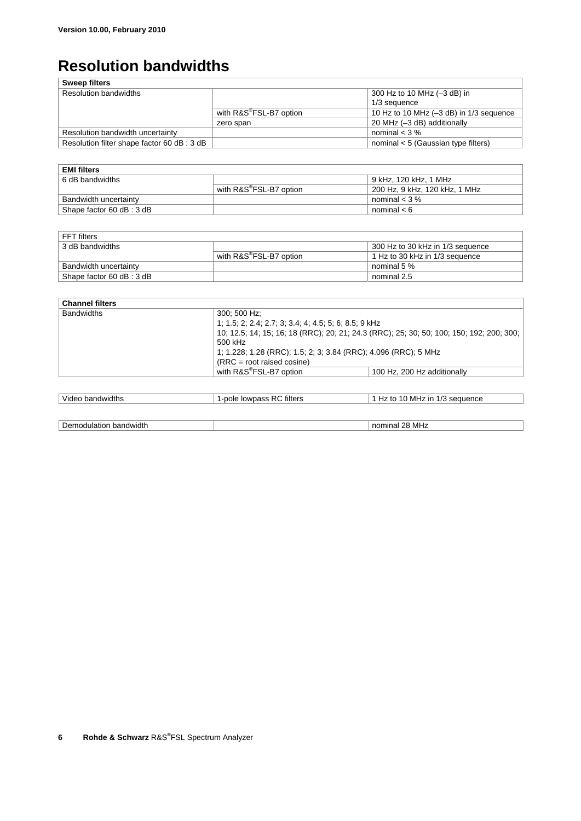## **Resolution bandwidths**

| <b>Sweep filters</b>                        |                                     |                                             |
|---------------------------------------------|-------------------------------------|---------------------------------------------|
| <b>Resolution bandwidths</b>                |                                     | 300 Hz to 10 MHz (-3 dB) in                 |
|                                             |                                     | 1/3 sequence                                |
|                                             | with R&S <sup>®</sup> FSL-B7 option | 10 Hz to 10 MHz $(-3$ dB) in $1/3$ sequence |
|                                             | zero span                           | 20 MHz (-3 dB) additionally                 |
| Resolution bandwidth uncertainty            |                                     | nominal $<$ 3 $\%$                          |
| Resolution filter shape factor 60 dB : 3 dB |                                     | nominal $< 5$ (Gaussian type filters)       |

| <b>EMI filters</b>       |                                         |                               |
|--------------------------|-----------------------------------------|-------------------------------|
| 6 dB bandwidths          |                                         | 9 kHz. 120 kHz. 1 MHz         |
|                          | with $R\&S^{\circledast}$ FSL-B7 option | 200 Hz, 9 kHz, 120 kHz, 1 MHz |
| Bandwidth uncertainty    |                                         | nominal $<$ 3 %               |
| Shape factor 60 dB: 3 dB |                                         | nominal $< 6$                 |

| FFT filters              |                                 |                                  |
|--------------------------|---------------------------------|----------------------------------|
| 3 dB bandwidths          |                                 | 300 Hz to 30 kHz in 1/3 sequence |
|                          | with $R\&S^\circ$ FSL-B7 option | 1 Hz to 30 kHz in 1/3 sequence   |
| Bandwidth uncertainty    |                                 | nominal 5 %                      |
| Shape factor 60 dB: 3 dB |                                 | nominal 2.5                      |

| 300: 500 Hz:                        |                                                                                          |  |
|-------------------------------------|------------------------------------------------------------------------------------------|--|
|                                     |                                                                                          |  |
|                                     | 10; 12.5; 14; 15; 16; 18 (RRC); 20; 21; 24.3 (RRC); 25; 30; 50; 100; 150; 192; 200; 300; |  |
| 500 kHz                             | 1; 1.228; 1.28 (RRC); 1.5; 2; 3; 3.84 (RRC); 4.096 (RRC); 5 MHz                          |  |
|                                     |                                                                                          |  |
| $(RRC = root raised cosine)$        |                                                                                          |  |
| with R&S <sup>®</sup> FSL-B7 option | 100 Hz, 200 Hz additionally                                                              |  |
|                                     | 1, 1.5, 2, 2.4, 2.7, 3, 3.4, 4, 4.5, 5, 6, 8.5, 9 kHz                                    |  |

| Video bandwidths       | 1-pole lowpass RC filters | 1 Hz to 10 MHz in 1/3 sequence |
|------------------------|---------------------------|--------------------------------|
|                        |                           |                                |
| Demodulation bandwidth |                           | nominal 28 MHz                 |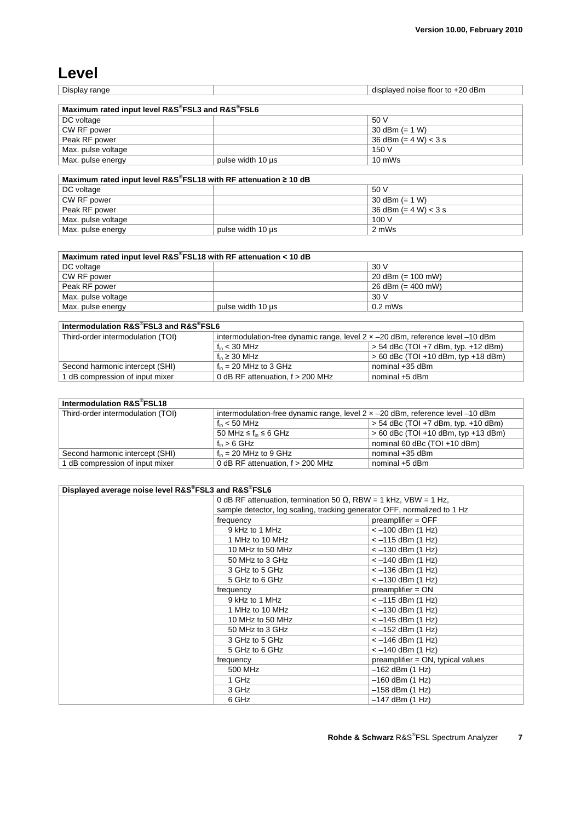## **Level**

 $\sqrt{2}$ 

| Displa<br>mae<br>- 11 | $\sim$<br>$\sim$<br>dBm<br>.<br>tloor<br>noise<br>ב <i>וו</i> נ<br>ПS<br>,,, |
|-----------------------|------------------------------------------------------------------------------|
|                       |                                                                              |

| Maximum rated input level R&S®FSL3 and R&S®FSL6 |                   |                          |
|-------------------------------------------------|-------------------|--------------------------|
| DC voltage                                      |                   | 50 V                     |
| CW RF power                                     |                   | 30 dBm $(= 1 W)$         |
| Peak RF power                                   |                   | $36$ dBm (= 4 W) $<$ 3 s |
| Max. pulse voltage                              |                   | 150 V                    |
| Max. pulse energy                               | pulse width 10 us | $10 \text{ mWs}$         |
|                                                 |                   |                          |

| Maximum rated input level R&S®FSL18 with RF attenuation $\geq$ 10 dB |                   |                          |
|----------------------------------------------------------------------|-------------------|--------------------------|
| DC voltage                                                           |                   | .50 V                    |
| CW RF power                                                          |                   | 30 dBm $(= 1 W)$         |
| Peak RF power                                                        |                   | $36$ dBm (= 4 W) $<$ 3 s |
| Max. pulse voltage                                                   |                   | 100V                     |
| Max. pulse energy                                                    | pulse width 10 us | 2 mWs                    |

| Maximum rated input level R&S®FSL18 with RF attenuation < 10 dB |                   |                              |
|-----------------------------------------------------------------|-------------------|------------------------------|
| DC voltage                                                      |                   | 30 V                         |
| CW RF power                                                     |                   | 20 dBm (= $100 \text{ mW}$ ) |
| Peak RF power                                                   |                   | 26 dBm $(= 400 \text{ mW})$  |
| Max. pulse voltage                                              |                   | 30 V                         |
| Max. pulse energy                                               | pulse width 10 us | $0.2$ mWs                    |

| Intermodulation R&S®FSL3 and R&S®FSL6 |                                                                                         |                                       |
|---------------------------------------|-----------------------------------------------------------------------------------------|---------------------------------------|
| Third-order intermodulation (TOI)     | intermodulation-free dynamic range, level $2 \times -20$ dBm, reference level $-10$ dBm |                                       |
|                                       | $f_{\text{in}}$ < 30 MHz                                                                | $> 54$ dBc (TOI +7 dBm, typ. +12 dBm) |
|                                       | $f_{in} \geq 30$ MHz                                                                    | $> 60$ dBc (TOI +10 dBm, typ +18 dBm) |
| Second harmonic intercept (SHI)       | $f_{in}$ = 20 MHz to 3 GHz                                                              | nominal +35 dBm                       |
| 1 dB compression of input mixer       | 0 dB RF attenuation, $f > 200$ MHz                                                      | nominal +5 dBm                        |

| Intermodulation R&S®FSL18         |                                                                                         |                                       |
|-----------------------------------|-----------------------------------------------------------------------------------------|---------------------------------------|
| Third-order intermodulation (TOI) | intermodulation-free dynamic range, level $2 \times -20$ dBm, reference level $-10$ dBm |                                       |
|                                   | $f_{\text{in}}$ < 50 MHz                                                                | $> 54$ dBc (TOI +7 dBm, typ. +10 dBm) |
|                                   | 50 MHz $\leq$ f <sub>in</sub> $\leq$ 6 GHz                                              | $> 60$ dBc (TOI +10 dBm, typ +13 dBm) |
|                                   | $f_{in} > 6$ GHz                                                                        | nominal 60 dBc (TOI +10 dBm)          |
| Second harmonic intercept (SHI)   | $f_{in}$ = 20 MHz to 9 GHz                                                              | nominal +35 dBm                       |
| 1 dB compression of input mixer   | 0 dB RF attenuation, $f > 200$ MHz                                                      | nominal $+5$ dBm                      |

| Displayed average noise level R&S®FSL3 and R&S®FSL6 |                                                                          |                                   |
|-----------------------------------------------------|--------------------------------------------------------------------------|-----------------------------------|
|                                                     | 0 dB RF attenuation, termination 50 $\Omega$ , RBW = 1 kHz, VBW = 1 Hz,  |                                   |
|                                                     | sample detector, log scaling, tracking generator OFF, normalized to 1 Hz |                                   |
|                                                     | frequency                                                                | $preamplifier = OFF$              |
|                                                     | 9 kHz to 1 MHz                                                           | $<-100$ dBm (1 Hz)                |
|                                                     | 1 MHz to 10 MHz                                                          | $<-115$ dBm $(1$ Hz)              |
|                                                     | 10 MHz to 50 MHz                                                         | $<-130$ dBm $(1$ Hz)              |
|                                                     | 50 MHz to 3 GHz                                                          | $<-140$ dBm (1 Hz)                |
|                                                     | 3 GHz to 5 GHz                                                           | $<-136$ dBm $(1$ Hz)              |
|                                                     | 5 GHz to 6 GHz                                                           | $<-130$ dBm $(1$ Hz)              |
|                                                     | frequency                                                                | $preamplifier = ON$               |
|                                                     | 9 kHz to 1 MHz                                                           | $<-115$ dBm $(1$ Hz)              |
|                                                     | 1 MHz to 10 MHz                                                          | $<-130$ dBm $(1$ Hz)              |
|                                                     | 10 MHz to 50 MHz                                                         | $<-145$ dBm (1 Hz)                |
|                                                     | 50 MHz to 3 GHz                                                          | $<-152$ dBm (1 Hz)                |
|                                                     | 3 GHz to 5 GHz                                                           | $<-146$ dBm $(1$ Hz)              |
|                                                     | 5 GHz to 6 GHz                                                           | $<-140$ dBm $(1$ Hz)              |
|                                                     | frequency                                                                | preamplifier = ON, typical values |
|                                                     | 500 MHz                                                                  | $-162$ dBm $(1$ Hz)               |
|                                                     | 1 GHz                                                                    | $-160$ dBm $(1$ Hz)               |
|                                                     | 3 GHz                                                                    | $-158$ dBm (1 Hz)                 |
|                                                     | 6 GHz                                                                    | $-147$ dBm $(1$ Hz)               |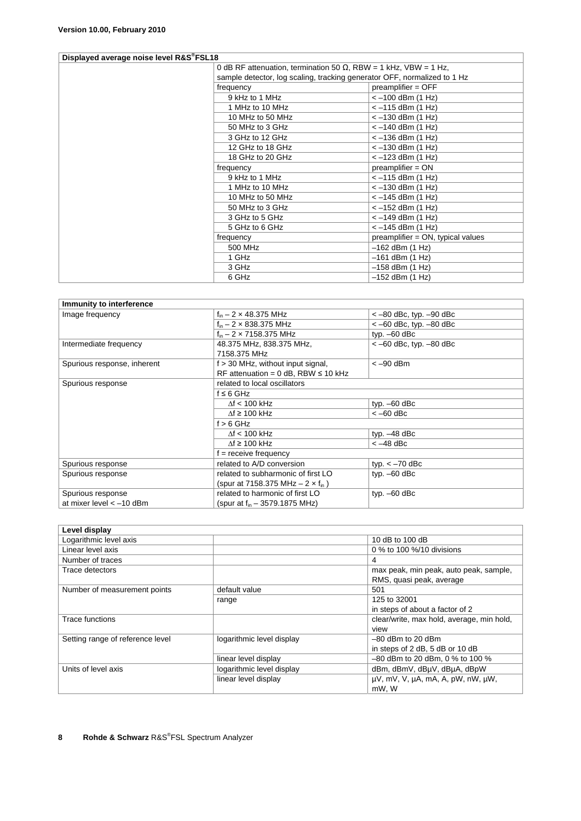#### **Displayed average noise level R&S® FSL18**

|  | 0 dB RF attenuation, termination 50 $\Omega$ , RBW = 1 kHz, VBW = 1 Hz,  |                                      |
|--|--------------------------------------------------------------------------|--------------------------------------|
|  | sample detector, log scaling, tracking generator OFF, normalized to 1 Hz |                                      |
|  | frequency                                                                | $preamplifier = OFF$                 |
|  | 9 kHz to 1 MHz                                                           | $<-100$ dBm (1 Hz)                   |
|  | 1 MHz to 10 MHz                                                          | $<-115$ dBm $(1$ Hz)                 |
|  | 10 MHz to 50 MHz                                                         | $<-130$ dBm (1 Hz)                   |
|  | 50 MHz to 3 GHz                                                          | $<-140$ dBm (1 Hz)                   |
|  | 3 GHz to 12 GHz                                                          | $<-136$ dBm $(1$ Hz)                 |
|  | 12 GHz to 18 GHz                                                         | $<-130$ dBm $(1$ Hz)                 |
|  | 18 GHz to 20 GHz                                                         | $<-123$ dBm $(1$ Hz)                 |
|  | frequency                                                                | $preamplifier = ON$                  |
|  | 9 kHz to 1 MHz                                                           | $<-115$ dBm $(1$ Hz)                 |
|  | 1 MHz to 10 MHz                                                          | $<-130$ dBm $(1$ Hz)                 |
|  | 10 MHz to 50 MHz                                                         | $<-145$ dBm $(1$ Hz)                 |
|  | 50 MHz to 3 GHz                                                          | $<-152$ dBm (1 Hz)                   |
|  | 3 GHz to 5 GHz                                                           | $<-149$ dBm $(1$ Hz)                 |
|  | 5 GHz to 6 GHz                                                           | $<-145$ dBm $(1$ Hz)                 |
|  | frequency                                                                | $preamplifier = ON$ , typical values |
|  | 500 MHz                                                                  | -162 dBm (1 Hz)                      |
|  | 1 GHz                                                                    | -161 dBm (1 Hz)                      |
|  | 3 GHz                                                                    | -158 dBm (1 Hz)                      |
|  | 6 GHz                                                                    | -152 dBm (1 Hz)                      |
|  |                                                                          |                                      |

| Immunity to interference    |                                             |                            |
|-----------------------------|---------------------------------------------|----------------------------|
| Image frequency             | $f_{in}$ – 2 $\times$ 48.375 MHz            | $<-80$ dBc, typ. $-90$ dBc |
|                             | $f_{in}$ – 2 $\times$ 838.375 MHz           | $<-60$ dBc, typ. $-80$ dBc |
|                             | $f_{in}$ – 2 $\times$ 7158.375 MHz          | typ. $-60$ dBc             |
| Intermediate frequency      | 48.375 MHz, 838.375 MHz,                    | $<-60$ dBc, typ. $-80$ dBc |
|                             | 7158.375 MHz                                |                            |
| Spurious response, inherent | $f > 30$ MHz, without input signal,         | $<-90$ dBm                 |
|                             | RF attenuation = $0$ dB, RBW $\leq 10$ kHz  |                            |
| Spurious response           | related to local oscillators                |                            |
|                             | $f \leq 6$ GHz                              |                            |
|                             | $\Delta f$ < 100 kHz                        | typ. $-60$ dBc             |
|                             | $\Delta f$ ≥ 100 kHz                        | $<-60$ dBc                 |
|                             | $f > 6$ GHz                                 |                            |
|                             | $\Delta f$ < 100 kHz                        | typ. $-48$ dBc             |
|                             | $\mathcal{M} \geq 100$ kHz                  | $<-48$ dBc                 |
|                             | $f =$ receive frequency                     |                            |
| Spurious response           | related to A/D conversion                   | typ. $<-70$ dBc            |
| Spurious response           | related to subharmonic of first LO          | typ. $-60$ dBc             |
|                             | (spur at 7158.375 MHz $- 2 \times f_{in}$ ) |                            |
| Spurious response           | related to harmonic of first LO             | typ. $-60$ dBc             |
| at mixer level $< -10$ dBm  | (spur at $f_{in}$ – 3579.1875 MHz)          |                            |

| Level display                    |                           |                                           |
|----------------------------------|---------------------------|-------------------------------------------|
| Logarithmic level axis           |                           | 10 dB to 100 dB                           |
| Linear level axis                |                           | 0 % to 100 %/10 divisions                 |
| Number of traces                 |                           | 4                                         |
| Trace detectors                  |                           | max peak, min peak, auto peak, sample,    |
|                                  |                           | RMS, quasi peak, average                  |
| Number of measurement points     | default value             | 501                                       |
|                                  | range                     | 125 to 32001                              |
|                                  |                           | in steps of about a factor of 2           |
| Trace functions                  |                           | clear/write, max hold, average, min hold, |
|                                  |                           | view                                      |
| Setting range of reference level | logarithmic level display | $-80$ dBm to 20 dBm                       |
|                                  |                           | in steps of 2 dB, 5 dB or 10 dB           |
|                                  | linear level display      | $-80$ dBm to 20 dBm, 0 % to 100 %         |
| Units of level axis              | logarithmic level display | dBm, dBmV, dBµV, dBµA, dBpW               |
|                                  | linear level display      | µV, mV, V, µA, mA, A, pW, nW, µW,         |
|                                  |                           | mW, W                                     |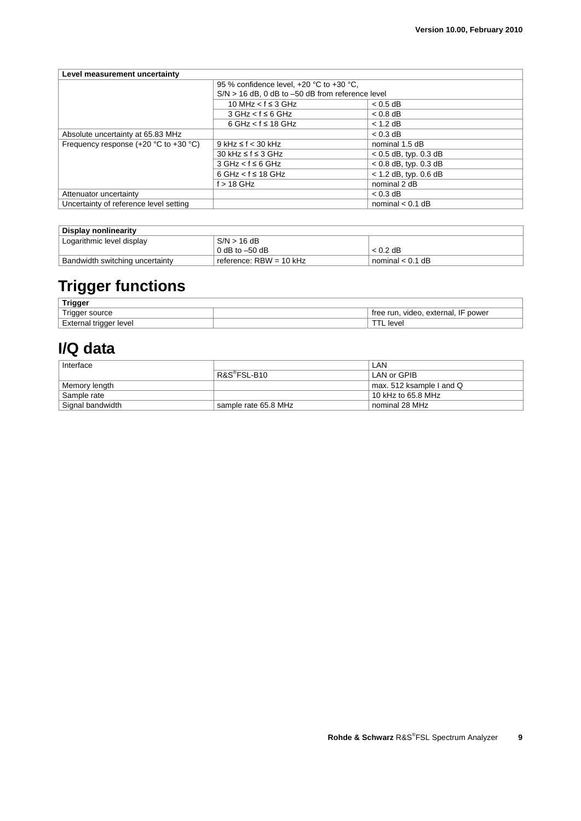| Level measurement uncertainty               |                                                                                                                                             |                         |
|---------------------------------------------|---------------------------------------------------------------------------------------------------------------------------------------------|-------------------------|
|                                             | 95 % confidence level, +20 °C to +30 °C,<br>$S/N > 16$ dB, 0 dB to $-50$ dB from reference level<br>10 MHz $\lt f \leq 3$ GHz<br>$< 0.5$ dB |                         |
|                                             |                                                                                                                                             |                         |
|                                             |                                                                                                                                             |                         |
|                                             | $3 GHz < f \le 6 GHz$                                                                                                                       | $< 0.8$ dB              |
|                                             | $6$ GHz $<$ f $\leq$ 18 GHz                                                                                                                 | $< 1.2$ dB              |
| Absolute uncertainty at 65.83 MHz           |                                                                                                                                             | $< 0.3$ dB              |
| Frequency response $(+20 °C)$ to $+30 °C$ ) | $9$ kHz $\leq$ f $<$ 30 kHz                                                                                                                 | nominal 1.5 dB          |
|                                             | $30$ kHz ≤ f ≤ 3 GHz                                                                                                                        | $< 0.5$ dB, typ. 0.3 dB |
|                                             | $3 GHz < f \le 6 GHz$                                                                                                                       | $< 0.8$ dB, typ. 0.3 dB |
|                                             | $6$ GHz $<$ f $\leq$ 18 GHz                                                                                                                 | $< 1.2$ dB, typ. 0.6 dB |
|                                             | $f > 18$ GHz                                                                                                                                | nominal 2 dB            |
| Attenuator uncertainty                      |                                                                                                                                             | $< 0.3$ dB              |
| Uncertainty of reference level setting      |                                                                                                                                             | nominal $< 0.1$ dB      |

#### **Display nonlinearity**  Logarithmic level display S/N > 16 dB 0 dB to  $-50$  dB  $\leq 0.2$  dB Bandwidth switching uncertainty reference: RBW = 10 kHz nominal < 0.1 dB

## **Trigger functions**

| <b>Trigger</b>              |                                                |
|-----------------------------|------------------------------------------------|
| $T$ rigger $\leq$<br>source | . external. IF<br>power<br>video,<br>tree run. |
| External trigger level      | level                                          |

## **I/Q data**

| Interface        |                          | LAN                      |
|------------------|--------------------------|--------------------------|
|                  | R&S <sup>®</sup> FSL-B10 | LAN or GPIB              |
| Memory length    |                          | max. 512 ksample I and Q |
| Sample rate      |                          | 10 kHz to 65.8 MHz       |
| Signal bandwidth | sample rate 65.8 MHz     | nominal 28 MHz           |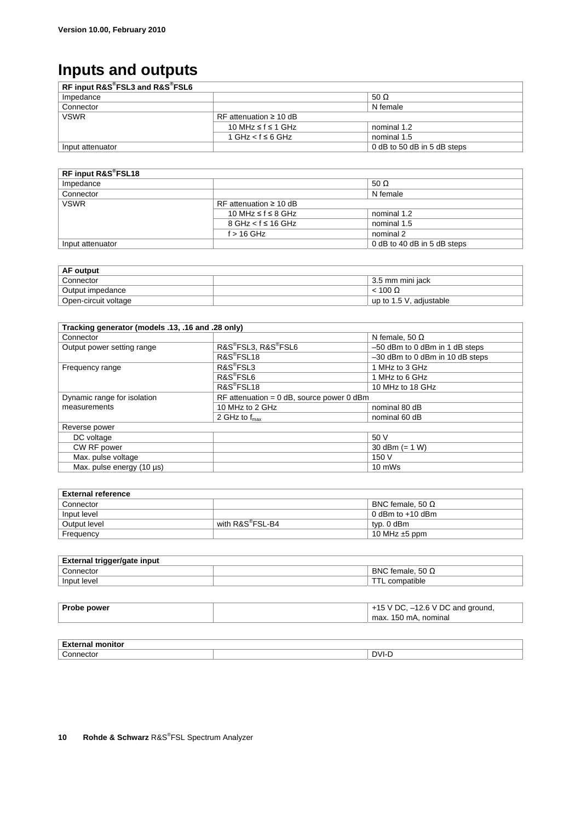## **Inputs and outputs**

| RF input R&S®FSL3 and R&S®FSL6 |                             |                             |
|--------------------------------|-----------------------------|-----------------------------|
| Impedance                      |                             | 50 $\Omega$                 |
| Connector                      |                             | N female                    |
| <b>VSWR</b>                    | RF attenuation $\geq 10$ dB |                             |
|                                | 10 MHz ≤ f ≤ 1 GHz          | nominal 1.2                 |
|                                | 1 GHz < $f$ ≤ 6 GHz         | nominal 1.5                 |
| Input attenuator               |                             | 0 dB to 50 dB in 5 dB steps |

| RF input R&S®FSL18                         |                          |                             |
|--------------------------------------------|--------------------------|-----------------------------|
| Impedance                                  |                          | 50 $\Omega$                 |
| Connector                                  |                          | N female                    |
| <b>VSWR</b><br>RF attenuation $\geq 10$ dB |                          |                             |
|                                            | 10 MHz ≤ f ≤ 8 GHz       | nominal 1.2                 |
|                                            | $8$ GHz < $f \le 16$ GHz | nominal 1.5                 |
|                                            | $f > 16$ GHz             | nominal 2                   |
| Input attenuator                           |                          | 0 dB to 40 dB in 5 dB steps |

| <b>AF output</b>     |                         |
|----------------------|-------------------------|
| Connector            | 3.5 mm mini jack        |
| Output impedance     | $< 100 \Omega$          |
| Open-circuit voltage | up to 1.5 V, adjustable |

| Tracking generator (models .13, .16 and .28 only) |                                             |                                 |
|---------------------------------------------------|---------------------------------------------|---------------------------------|
| Connector                                         |                                             | N female, 50 $\Omega$           |
| Output power setting range                        | R&S®FSL3, R&S®FSL6                          | -50 dBm to 0 dBm in 1 dB steps  |
|                                                   | R&S <sup>®</sup> FSL18                      | -30 dBm to 0 dBm in 10 dB steps |
| Frequency range                                   | R&S <sup>®</sup> FSL3                       | 1 MHz to 3 GHz                  |
|                                                   | R&S <sup>®</sup> FSL6                       | 1 MHz to 6 GHz                  |
|                                                   | R&S <sup>®</sup> FSL18                      | 10 MHz to 18 GHz                |
| Dynamic range for isolation                       | RF attenuation = $0$ dB, source power 0 dBm |                                 |
| measurements                                      | 10 MHz to 2 GHz                             | nominal 80 dB                   |
|                                                   | 2 GHz to $f_{\text{max}}$                   | nominal 60 dB                   |
| Reverse power                                     |                                             |                                 |
| DC voltage                                        |                                             | 50 V                            |
| CW RF power                                       |                                             | 30 dBm $(= 1 W)$                |
| Max. pulse voltage                                |                                             | 150 V                           |
| Max. pulse energy (10 µs)                         |                                             | $10 \text{ mWs}$                |

| <b>External reference</b> |                              |                         |
|---------------------------|------------------------------|-------------------------|
| Connector                 |                              | BNC female, 50 $\Omega$ |
| Input level               |                              | 0 dBm to $+10$ dBm      |
| Output level              | with R&S <sup>®</sup> FSL-B4 | tvp. 0 dBm              |
| Frequency                 |                              | 10 MHz $\pm$ 5 ppm      |

| External trigger/gate input |                         |  |
|-----------------------------|-------------------------|--|
| Connector                   | BNC female, 50 $\Omega$ |  |
| Input level                 | compatible              |  |

| Probe power | $'$ DC, $-12.6$ V DC and ground,<br>$\mathcal{U}$ |
|-------------|---------------------------------------------------|
|             | 150 mA.<br>nominal<br>max.                        |
|             |                                                   |

| на |                    |
|----|--------------------|
|    | . יר<br>. .<br>. . |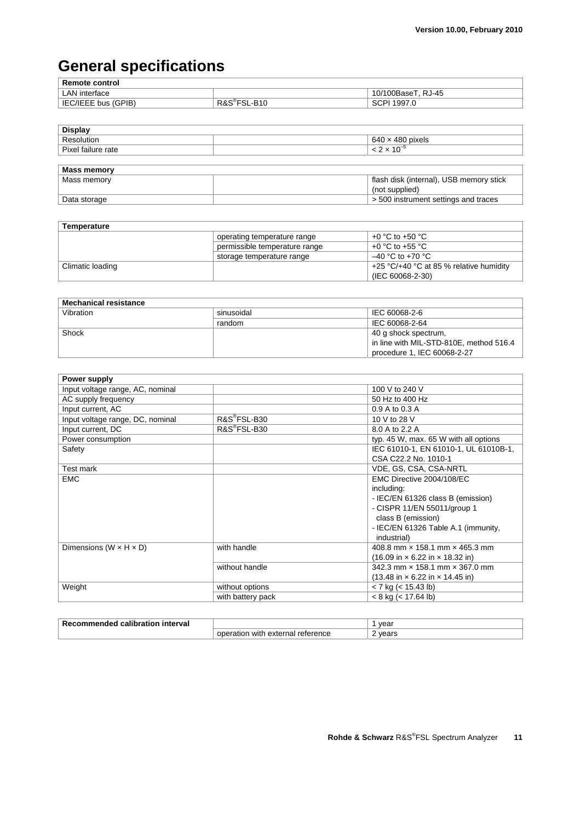## **General specifications**

| <b>Remote control</b> |              |                    |
|-----------------------|--------------|--------------------|
| LAN interface         |              | 10/100BaseT, RJ-45 |
| IEC/IEEE bus (GPIB)   | -R10<br>R&S® | ່ 1997.ປ<br>5CI.   |

| Display            |                                         |
|--------------------|-----------------------------------------|
| Resolution         | $640 \times 480$ pixels                 |
| Pixel failure rate | $< 2 \times 10^{-5}$                    |
|                    |                                         |
| <b>Mass memory</b> |                                         |
| Mass memory        | flash disk (internal), USB memory stick |
|                    | (not supplied)                          |
| Data storage       | > 500 instrument settings and traces    |

| <b>Temperature</b> |                               |                                                           |
|--------------------|-------------------------------|-----------------------------------------------------------|
|                    | operating temperature range   | +0 °C to +50 °C                                           |
|                    | permissible temperature range | +0 °C to +55 °C                                           |
|                    | storage temperature range     | $-40$ °C to +70 °C                                        |
| Climatic loading   |                               | +25 $\degree$ C/+40 $\degree$ C at 85 % relative humidity |
|                    |                               | (IEC 60068-2-30)                                          |

| <b>Mechanical resistance</b> |            |                                         |
|------------------------------|------------|-----------------------------------------|
| Vibration                    | sinusoidal | IEC 60068-2-6                           |
|                              | random     | IEC 60068-2-64                          |
| Shock                        |            | 40 g shock spectrum,                    |
|                              |            | in line with MIL-STD-810E, method 516.4 |
|                              |            | procedure 1, IEC 60068-2-27             |

| Power supply                         |                          |                                                                     |
|--------------------------------------|--------------------------|---------------------------------------------------------------------|
| Input voltage range, AC, nominal     |                          | 100 V to 240 V                                                      |
| AC supply frequency                  |                          | 50 Hz to 400 Hz                                                     |
| Input current, AC                    |                          | 0.9 A to 0.3 A                                                      |
| Input voltage range, DC, nominal     | R&S®FSL-B30              | 10 V to 28 V                                                        |
| Input current, DC                    | R&S <sup>®</sup> FSL-B30 | 8.0 A to 2.2 A                                                      |
| Power consumption                    |                          | typ. 45 W, max. 65 W with all options                               |
| Safety                               |                          | IEC 61010-1, EN 61010-1, UL 61010B-1,                               |
|                                      |                          | CSA C22.2 No. 1010-1                                                |
| Test mark                            |                          | VDE, GS, CSA, CSA-NRTL                                              |
| <b>EMC</b>                           |                          | EMC Directive 2004/108/EC                                           |
|                                      |                          | including:                                                          |
|                                      |                          | - IEC/EN 61326 class B (emission)                                   |
|                                      |                          | - CISPR 11/EN 55011/group 1                                         |
|                                      |                          | class B (emission)                                                  |
|                                      |                          | - IEC/EN 61326 Table A.1 (immunity,                                 |
|                                      |                          | industrial)                                                         |
| Dimensions ( $W \times H \times D$ ) | with handle              | 408.8 mm x 158.1 mm x 465.3 mm                                      |
|                                      |                          | $(16.09 \text{ in} \times 6.22 \text{ in} \times 18.32 \text{ in})$ |
|                                      | without handle           | 342.3 mm × 158.1 mm × 367.0 mm                                      |
|                                      |                          | $(13.48 \text{ in} \times 6.22 \text{ in} \times 14.45 \text{ in})$ |
| Weight                               | without options          | $<$ 7 kg ( $<$ 15.43 lb)                                            |
|                                      | with battery pack        | $< 8$ kg ( $< 17.64$ lb)                                            |

| Rec<br>interval<br>calibration<br>nmenaea<br>ור |                                         | vear  |
|-------------------------------------------------|-----------------------------------------|-------|
|                                                 | operation with<br>external<br>reterence | vears |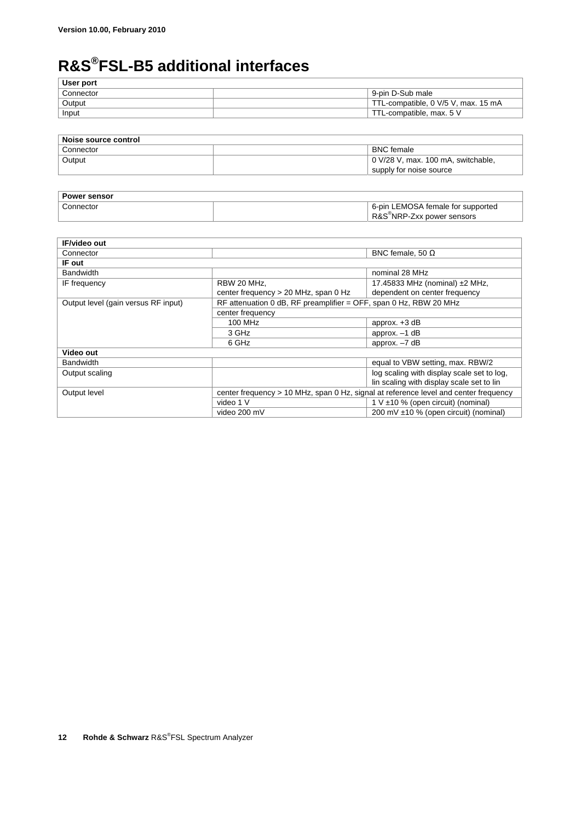## **R&S®FSL-B5 additional interfaces**

| User port |                                     |
|-----------|-------------------------------------|
| Connector | 9-pin D-Sub male                    |
| Output    | TTL-compatible, 0 V/5 V, max. 15 mA |
| Input     | TTL-compatible, max. 5 V            |
|           |                                     |

| Noise source control |                                    |
|----------------------|------------------------------------|
| Connector            | <b>BNC</b> female                  |
| Output               | 0 V/28 V, max. 100 mA, switchable, |
|                      | supply for noise source            |

| <b>Power sensor</b> |                                        |  |
|---------------------|----------------------------------------|--|
| Connector           | 6-pin LEMOSA female for supported      |  |
|                     | R&S <sup>®</sup> NRP-Zxx power sensors |  |

| <b>IF/video out</b>                 |                                                                   |                                                                                      |
|-------------------------------------|-------------------------------------------------------------------|--------------------------------------------------------------------------------------|
| Connector                           |                                                                   | BNC female, 50 $\Omega$                                                              |
| IF out                              |                                                                   |                                                                                      |
| <b>Bandwidth</b>                    |                                                                   | nominal 28 MHz                                                                       |
| IF frequency                        | RBW 20 MHz.                                                       | 17.45833 MHz (nominal) $±2$ MHz,                                                     |
|                                     | center frequency $> 20$ MHz, span 0 Hz                            | dependent on center frequency                                                        |
| Output level (gain versus RF input) | RF attenuation 0 dB, RF preamplifier = OFF, span 0 Hz, RBW 20 MHz |                                                                                      |
|                                     | center frequency                                                  |                                                                                      |
|                                     | 100 MHz                                                           | approx. $+3$ dB                                                                      |
|                                     | 3 GHz                                                             | approx. $-1$ dB                                                                      |
|                                     | 6 GHz                                                             | approx. $-7$ dB                                                                      |
| Video out                           |                                                                   |                                                                                      |
| <b>Bandwidth</b>                    |                                                                   | equal to VBW setting, max. RBW/2                                                     |
| Output scaling                      |                                                                   | log scaling with display scale set to log,                                           |
|                                     |                                                                   | lin scaling with display scale set to lin                                            |
| Output level                        |                                                                   | center frequency > 10 MHz, span 0 Hz, signal at reference level and center frequency |
|                                     | video 1 V                                                         | $1 \vee \pm 10$ % (open circuit) (nominal)                                           |
|                                     | video 200 mV                                                      | 200 mV ±10 % (open circuit) (nominal)                                                |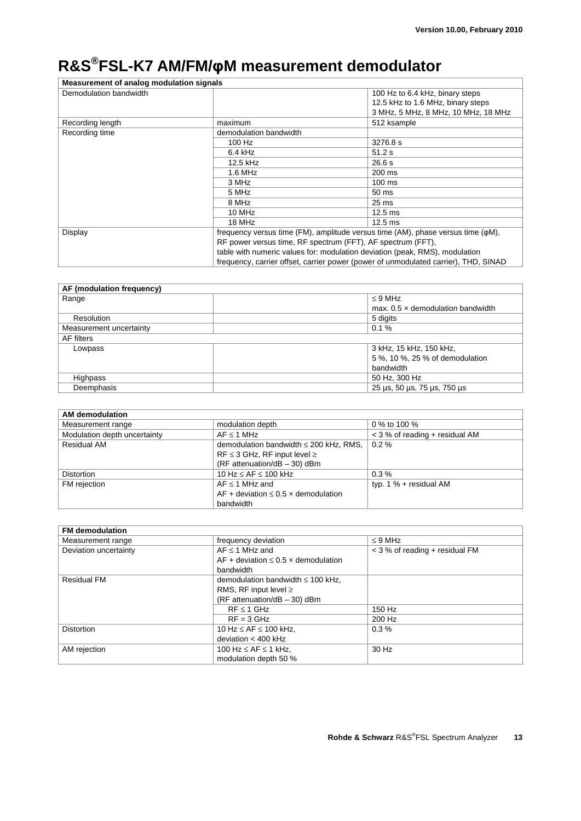## **R&S®FSL-K7 AM/FM/φM measurement demodulator**

| Measurement of analog modulation signals                                            |                                                                                                                                                           |                                     |
|-------------------------------------------------------------------------------------|-----------------------------------------------------------------------------------------------------------------------------------------------------------|-------------------------------------|
| Demodulation bandwidth                                                              |                                                                                                                                                           | 100 Hz to 6.4 kHz, binary steps     |
|                                                                                     |                                                                                                                                                           | 12.5 kHz to 1.6 MHz, binary steps   |
|                                                                                     |                                                                                                                                                           | 3 MHz, 5 MHz, 8 MHz, 10 MHz, 18 MHz |
| Recording length                                                                    | maximum                                                                                                                                                   | 512 ksample                         |
| Recording time                                                                      | demodulation bandwidth                                                                                                                                    |                                     |
|                                                                                     | 100 Hz                                                                                                                                                    | 3276.8 s                            |
|                                                                                     | $6.4$ kHz                                                                                                                                                 | 51.2 s                              |
|                                                                                     | 12.5 kHz                                                                                                                                                  | 26.6s                               |
|                                                                                     | 1.6 MHz                                                                                                                                                   | 200 ms                              |
|                                                                                     | 3 MHz                                                                                                                                                     | $100$ ms                            |
|                                                                                     | 5 MHz                                                                                                                                                     | 50 ms                               |
|                                                                                     | 8 MHz                                                                                                                                                     | 25 <sub>ms</sub>                    |
|                                                                                     | 10 MHz                                                                                                                                                    | $12.5$ ms                           |
|                                                                                     | 18 MHz                                                                                                                                                    | $12.5$ ms                           |
| Display                                                                             | frequency versus time (FM), amplitude versus time (AM), phase versus time ( $\varphi M$ ),<br>RF power versus time, RF spectrum (FFT), AF spectrum (FFT), |                                     |
|                                                                                     |                                                                                                                                                           |                                     |
|                                                                                     | table with numeric values for: modulation deviation (peak, RMS), modulation                                                                               |                                     |
| frequency, carrier offset, carrier power (power of unmodulated carrier), THD, SINAD |                                                                                                                                                           |                                     |

| AF (modulation frequency) |                                          |  |
|---------------------------|------------------------------------------|--|
| Range                     | $\leq$ 9 MHz                             |  |
|                           | max, $0.5 \times$ demodulation bandwidth |  |
| Resolution                | 5 digits                                 |  |
| Measurement uncertainty   | 0.1%                                     |  |
| AF filters                |                                          |  |
| Lowpass                   | 3 kHz, 15 kHz, 150 kHz,                  |  |
|                           | 5 %, 10 %, 25 % of demodulation          |  |
|                           | bandwidth                                |  |
| Highpass                  | 50 Hz, 300 Hz                            |  |
| Deemphasis                | 25 µs, 50 µs, 75 µs, 750 µs              |  |

| <b>AM</b> demodulation       |                                             |                                  |
|------------------------------|---------------------------------------------|----------------------------------|
| Measurement range            | modulation depth                            | 0 % to 100 %                     |
| Modulation depth uncertainty | $AF \leq 1 MHz$                             | $<$ 3 % of reading + residual AM |
| <b>Residual AM</b>           | demodulation bandwidth $\leq$ 200 kHz, RMS, | $0.2 \%$                         |
|                              | $RF \leq 3$ GHz, RF input level $\geq$      |                                  |
|                              | (RF attenuation/dB $-$ 30) dBm              |                                  |
| <b>Distortion</b>            | 10 Hz $\leq$ AF $\leq$ 100 kHz              | $0.3\%$                          |
| FM rejection                 | $AF \leq 1$ MHz and                         | typ. $1\%$ + residual AM         |
|                              | AF + deviation $\leq 0.5$ x demodulation    |                                  |
|                              | bandwidth                                   |                                  |

| <b>FM</b> demodulation |                                               |                                |
|------------------------|-----------------------------------------------|--------------------------------|
| Measurement range      | frequency deviation                           | $\leq$ 9 MHz                   |
| Deviation uncertainty  | $AF \leq 1$ MHz and                           | < 3 % of reading + residual FM |
|                        | AF + deviation $\leq 0.5 \times$ demodulation |                                |
|                        | bandwidth                                     |                                |
| <b>Residual FM</b>     | demodulation bandwidth $\leq$ 100 kHz,        |                                |
|                        | RMS, RF input level $\geq$                    |                                |
|                        | $(RF$ attenuation/dB $-$ 30) dBm              |                                |
|                        | $RF \leq 1$ GHz                               | 150 Hz                         |
|                        | $RF = 3$ GHz                                  | 200 Hz                         |
| <b>Distortion</b>      | 10 Hz $\leq$ AF $\leq$ 100 kHz,               | $0.3\%$                        |
|                        | deviation $<$ 400 kHz                         |                                |
| AM rejection           | 100 Hz $\leq$ AF $\leq$ 1 kHz,                | 30 Hz                          |
|                        | modulation depth 50 %                         |                                |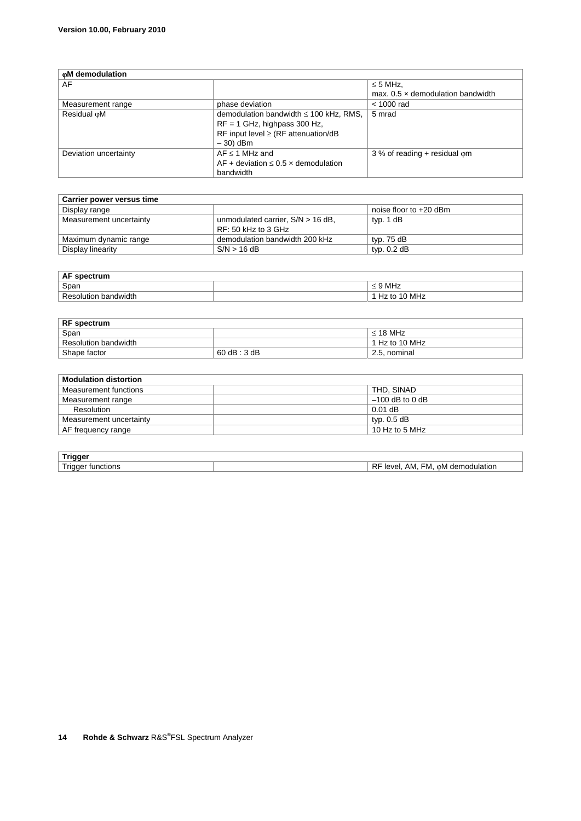| oM demodulation       |                                               |                                          |
|-----------------------|-----------------------------------------------|------------------------------------------|
| AF                    |                                               | $\leq$ 5 MHz,                            |
|                       |                                               | max, $0.5 \times$ demodulation bandwidth |
| Measurement range     | phase deviation                               | $<$ 1000 rad                             |
| Residual oM           | demodulation bandwidth $\leq 100$ kHz, RMS,   | 5 mrad                                   |
|                       | $RF = 1$ GHz, highpass 300 Hz,                |                                          |
|                       | RF input level $\geq$ (RF attenuation/dB      |                                          |
|                       | $-30$ dBm                                     |                                          |
| Deviation uncertainty | $AF \leq 1$ MHz and                           | $3%$ of reading + residual om            |
|                       | AF + deviation $\leq 0.5 \times$ demodulation |                                          |
|                       | bandwidth                                     |                                          |

| Carrier power versus time |                                     |                          |
|---------------------------|-------------------------------------|--------------------------|
| Display range             |                                     | noise floor to $+20$ dBm |
| Measurement uncertainty   | unmodulated carrier, $S/N > 16$ dB, | typ. 1 dB                |
|                           | $RF: 50$ kHz to 3 GHz               |                          |
| Maximum dynamic range     | demodulation bandwidth 200 kHz      | typ. 75 dB               |
| Display linearity         | S/N > 16 dB                         | typ. $0.2$ dB            |

| AF<br>spectrum          |                   |
|-------------------------|-------------------|
| Span                    | MHz<br><u>. .</u> |
| bandwidth<br>Resolution | MHz               |

| <b>RF</b> spectrum   |              |                |
|----------------------|--------------|----------------|
| Span                 |              | $\leq$ 18 MHz  |
| Resolution bandwidth |              | 1 Hz to 10 MHz |
| Shape factor         | 60 dB : 3 dB | 2.5. nominal   |

| <b>Modulation distortion</b> |                   |
|------------------------------|-------------------|
| Measurement functions        | THD, SINAD        |
| Measurement range            | $-100$ dB to 0 dB |
| Resolution                   | $0.01$ dB         |
| Measurement uncertainty      | typ. 0.5 dB       |
| AF frequency range           | 10 Hz to 5 MHz    |

| . .                                                                             |                                     |
|---------------------------------------------------------------------------------|-------------------------------------|
| $\overline{\phantom{0}}$<br>unctions <sup>.</sup><br>ave<br>101014<br>в.<br>. . | odulation<br>dem<br>-M<br>AM.<br>0M |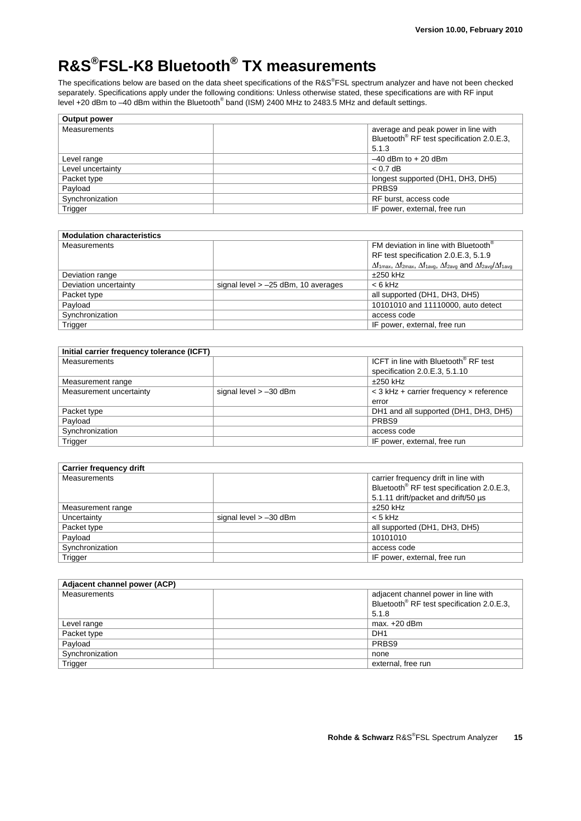## **R&S®FSL-K8 Bluetooth® TX measurements**

The specifications below are based on the data sheet specifications of the R&S®FSL spectrum analyzer and have not been checked separately. Specifications apply under the following conditions: Unless otherwise stated, these specifications are with RF input level +20 dBm to -40 dBm within the Bluetooth $^{\circ}$  band (ISM) 2400 MHz to 2483.5 MHz and default settings.

| average and peak power in line with<br>Bluetooth <sup>®</sup> RF test specification 2.0.E.3, |
|----------------------------------------------------------------------------------------------|
| 5.1.3                                                                                        |
| $-40$ dBm to $+20$ dBm                                                                       |
| $< 0.7$ dB                                                                                   |
| longest supported (DH1, DH3, DH5)                                                            |
| PRBS9                                                                                        |
| RF burst, access code                                                                        |
| IF power, external, free run                                                                 |
|                                                                                              |

| <b>Modulation characteristics</b> |                                       |                                                                                                                                                               |
|-----------------------------------|---------------------------------------|---------------------------------------------------------------------------------------------------------------------------------------------------------------|
| <b>Measurements</b>               |                                       | FM deviation in line with Bluetooth®                                                                                                                          |
|                                   |                                       | RF test specification 2.0.E.3, 5.1.9                                                                                                                          |
|                                   |                                       | $\Delta f_{1\text{max}}$ , $\Delta f_{2\text{max}}$ , $\Delta f_{1\text{avg}}$ , $\Delta f_{2\text{avg}}$ and $\Delta f_{2\text{avg}}/\Delta f_{1\text{avg}}$ |
| Deviation range                   |                                       | $±250$ kHz                                                                                                                                                    |
| Deviation uncertainty             | signal level $> -25$ dBm, 10 averages | $< 6$ kHz                                                                                                                                                     |
| Packet type                       |                                       | all supported (DH1, DH3, DH5)                                                                                                                                 |
| Payload                           |                                       | 10101010 and 11110000, auto detect                                                                                                                            |
| Synchronization                   |                                       | access code                                                                                                                                                   |
| Trigger                           |                                       | IF power, external, free run                                                                                                                                  |

| Initial carrier frequency tolerance (ICFT) |                          |                                                  |
|--------------------------------------------|--------------------------|--------------------------------------------------|
| <b>Measurements</b>                        |                          | ICFT in line with Bluetooth <sup>®</sup> RF test |
|                                            |                          | specification 2.0.E.3, 5.1.10                    |
| Measurement range                          |                          | $±250$ kHz                                       |
| Measurement uncertainty                    | signal level $> -30$ dBm | $<$ 3 kHz + carrier frequency $\times$ reference |
|                                            |                          | error                                            |
| Packet type                                |                          | DH1 and all supported (DH1, DH3, DH5)            |
| Payload                                    |                          | PRBS9                                            |
| Synchronization                            |                          | access code                                      |
| Trigger                                    |                          | IF power, external, free run                     |

| <b>Carrier frequency drift</b> |                          |                                                       |
|--------------------------------|--------------------------|-------------------------------------------------------|
| <b>Measurements</b>            |                          | carrier frequency drift in line with                  |
|                                |                          | Bluetooth <sup>®</sup> RF test specification 2.0.E.3, |
|                                |                          | 5.1.11 drift/packet and drift/50 us                   |
| Measurement range              |                          | $±250$ kHz                                            |
| Uncertainty                    | signal level $> -30$ dBm | $< 5$ kHz                                             |
| Packet type                    |                          | all supported (DH1, DH3, DH5)                         |
| Payload                        |                          | 10101010                                              |
| Synchronization                |                          | access code                                           |
| Trigger                        |                          | IF power, external, free run                          |

| Adjacent channel power (ACP) |                                                       |
|------------------------------|-------------------------------------------------------|
| Measurements                 | adjacent channel power in line with                   |
|                              | Bluetooth <sup>®</sup> RF test specification 2.0.E.3, |
|                              | 5.1.8                                                 |
| Level range                  | max. $+20$ dBm                                        |
| Packet type                  | DH <sub>1</sub>                                       |
| Payload                      | PRBS9                                                 |
| Synchronization              | none                                                  |
| Trigger                      | external, free run                                    |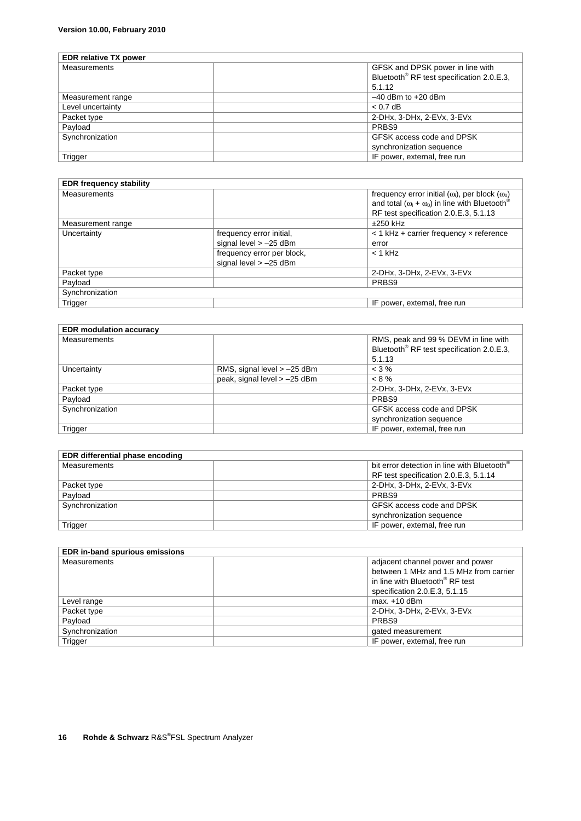| <b>EDR</b> relative TX power |                                                       |
|------------------------------|-------------------------------------------------------|
| <b>Measurements</b>          | GFSK and DPSK power in line with                      |
|                              | Bluetooth <sup>®</sup> RF test specification 2.0.E.3, |
|                              | 5.1.12                                                |
| Measurement range            | $-40$ dBm to $+20$ dBm                                |
| Level uncertainty            | $< 0.7$ dB                                            |
| Packet type                  | 2-DHx, 3-DHx, 2-EVx, 3-EVx                            |
| Payload                      | PRBS9                                                 |
| Synchronization              | GFSK access code and DPSK                             |
|                              | synchronization sequence                              |
| Trigger                      | IF power, external, free run                          |

| <b>EDR frequency stability</b> |                                                        |                                                                                                                                                                                    |
|--------------------------------|--------------------------------------------------------|------------------------------------------------------------------------------------------------------------------------------------------------------------------------------------|
| <b>Measurements</b>            |                                                        | frequency error initial ( $\omega_i$ ), per block ( $\omega_0$ )<br>and total $(\omega_1 + \omega_0)$ in line with Bluetooth <sup>®</sup><br>RF test specification 2.0.E.3, 5.1.13 |
| Measurement range              |                                                        | $±250$ kHz                                                                                                                                                                         |
| Uncertainty                    | frequency error initial,<br>signal level $> -25$ dBm   | $<$ 1 kHz + carrier frequency $\times$ reference<br>error                                                                                                                          |
|                                | frequency error per block,<br>signal level $> -25$ dBm | $<$ 1 kHz                                                                                                                                                                          |
| Packet type                    |                                                        | 2-DHx. 3-DHx. 2-EVx. 3-EVx.                                                                                                                                                        |
| Payload                        |                                                        | PRBS9                                                                                                                                                                              |
| Synchronization                |                                                        |                                                                                                                                                                                    |
| Trigger                        |                                                        | IF power, external, free run                                                                                                                                                       |

| <b>EDR</b> modulation accuracy |                               |                                                       |
|--------------------------------|-------------------------------|-------------------------------------------------------|
| <b>Measurements</b>            |                               | RMS, peak and 99 % DEVM in line with                  |
|                                |                               | Bluetooth <sup>®</sup> RF test specification 2.0.E.3, |
|                                |                               | 5.1.13                                                |
| Uncertainty                    | RMS, signal level $> -25$ dBm | $<$ 3 %                                               |
|                                | peak, signal level > -25 dBm  | $< 8\%$                                               |
| Packet type                    |                               | 2-DHx, 3-DHx, 2-EVx, 3-EVx                            |
| Payload                        |                               | PRBS9                                                 |
| Synchronization                |                               | GFSK access code and DPSK                             |
|                                |                               | synchronization sequence                              |
| Trigger                        |                               | IF power, external, free run                          |

| EDR differential phase encoding |                                                         |
|---------------------------------|---------------------------------------------------------|
| <b>Measurements</b>             | bit error detection in line with Bluetooth <sup>®</sup> |
|                                 | RF test specification 2.0.E.3, 5.1.14                   |
| Packet type                     | 2-DHx, 3-DHx, 2-EVx, 3-EVx                              |
| Payload                         | PRBS9                                                   |
| Synchronization                 | GFSK access code and DPSK                               |
|                                 | synchronization sequence                                |
| Trigger                         | IF power, external, free run                            |

| <b>EDR in-band spurious emissions</b> |                                             |  |
|---------------------------------------|---------------------------------------------|--|
| <b>Measurements</b>                   | adjacent channel power and power            |  |
|                                       | between 1 MHz and 1.5 MHz from carrier      |  |
|                                       | in line with Bluetooth <sup>®</sup> RF test |  |
|                                       | specification 2.0.E.3, 5.1.15               |  |
| Level range                           | $max.+10$ dBm                               |  |
| Packet type                           | 2-DHx, 3-DHx, 2-EVx, 3-EVx                  |  |
| Payload                               | PRBS9                                       |  |
| Synchronization                       | gated measurement                           |  |
| Trigger                               | IF power, external, free run                |  |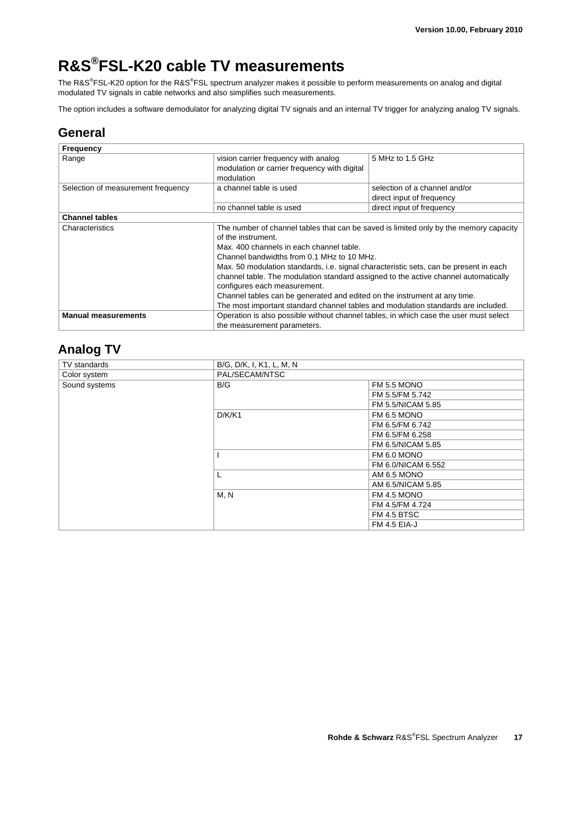## **R&S®FSL-K20 cable TV measurements**

The R&S®FSL-K20 option for the R&S®FSL spectrum analyzer makes it possible to perform measurements on analog and digital modulated TV signals in cable networks and also simplifies such measurements.

The option includes a software demodulator for analyzing digital TV signals and an internal TV trigger for analyzing analog TV signals.

#### **General**

| <b>Frequency</b>                   |                                                                                                                                                                                                                                                                                                                                                                                                                                                                                                                                                                                         |                                                            |
|------------------------------------|-----------------------------------------------------------------------------------------------------------------------------------------------------------------------------------------------------------------------------------------------------------------------------------------------------------------------------------------------------------------------------------------------------------------------------------------------------------------------------------------------------------------------------------------------------------------------------------------|------------------------------------------------------------|
| Range                              | vision carrier frequency with analog<br>modulation or carrier frequency with digital<br>modulation                                                                                                                                                                                                                                                                                                                                                                                                                                                                                      | 5 MHz to 1.5 GHz                                           |
| Selection of measurement frequency | a channel table is used                                                                                                                                                                                                                                                                                                                                                                                                                                                                                                                                                                 | selection of a channel and/or<br>direct input of frequency |
|                                    | no channel table is used                                                                                                                                                                                                                                                                                                                                                                                                                                                                                                                                                                | direct input of frequency                                  |
| <b>Channel tables</b>              |                                                                                                                                                                                                                                                                                                                                                                                                                                                                                                                                                                                         |                                                            |
| Characteristics                    | The number of channel tables that can be saved is limited only by the memory capacity<br>of the instrument.<br>Max. 400 channels in each channel table.<br>Channel bandwidths from 0.1 MHz to 10 MHz.<br>Max. 50 modulation standards, i.e. signal characteristic sets, can be present in each<br>channel table. The modulation standard assigned to the active channel automatically<br>configures each measurement.<br>Channel tables can be generated and edited on the instrument at any time.<br>The most important standard channel tables and modulation standards are included. |                                                            |
| <b>Manual measurements</b>         | Operation is also possible without channel tables, in which case the user must select<br>the measurement parameters.                                                                                                                                                                                                                                                                                                                                                                                                                                                                    |                                                            |

### **Analog TV**

| TV standards  | B/G, D/K, I, K1, L, M, N |                    |
|---------------|--------------------------|--------------------|
| Color system  | PAL/SECAM/NTSC           |                    |
| Sound systems | B/G                      | FM 5.5 MONO        |
|               |                          | FM 5.5/FM 5.742    |
|               |                          | FM 5.5/NICAM 5.85  |
|               | D/K/K1                   | FM 6.5 MONO        |
|               |                          | FM 6.5/FM 6.742    |
|               |                          | FM 6.5/FM 6.258    |
|               |                          | FM 6.5/NICAM 5.85  |
|               |                          | FM 6.0 MONO        |
|               |                          | FM 6.0/NICAM 6.552 |
|               |                          | AM 6.5 MONO        |
|               |                          | AM 6.5/NICAM 5.85  |
|               | M, N                     | FM 4.5 MONO        |
|               |                          | FM 4.5/FM 4.724    |
|               |                          | FM 4.5 BTSC        |
|               |                          | FM 4.5 EIA-J       |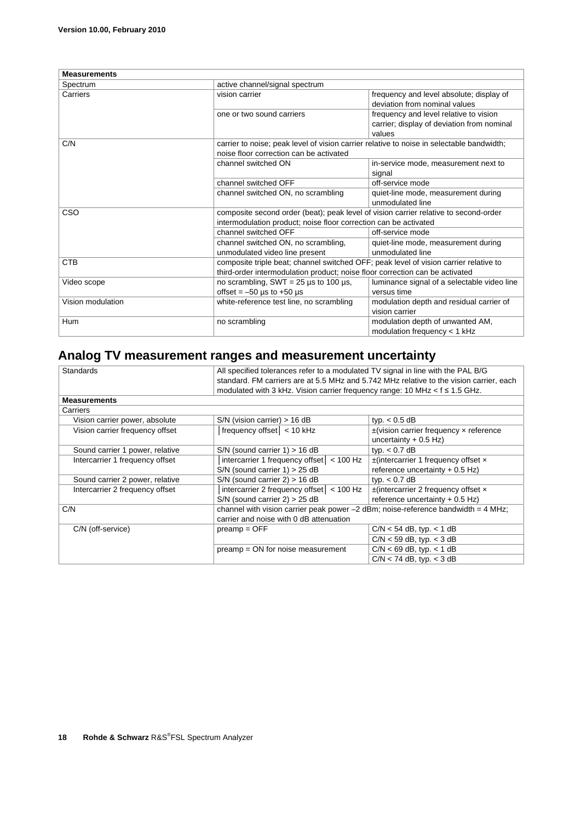| <b>Measurements</b>                                                                         |                                                                                           |                                                                                                |  |
|---------------------------------------------------------------------------------------------|-------------------------------------------------------------------------------------------|------------------------------------------------------------------------------------------------|--|
| Spectrum                                                                                    | active channel/signal spectrum                                                            |                                                                                                |  |
| Carriers                                                                                    | vision carrier                                                                            | frequency and level absolute; display of<br>deviation from nominal values                      |  |
|                                                                                             | one or two sound carriers                                                                 | frequency and level relative to vision<br>carrier; display of deviation from nominal<br>values |  |
| C/N                                                                                         | carrier to noise; peak level of vision carrier relative to noise in selectable bandwidth; |                                                                                                |  |
|                                                                                             | noise floor correction can be activated                                                   |                                                                                                |  |
|                                                                                             | channel switched ON                                                                       | in-service mode, measurement next to<br>signal                                                 |  |
|                                                                                             | channel switched OFF                                                                      | off-service mode                                                                               |  |
|                                                                                             | channel switched ON, no scrambling                                                        | quiet-line mode, measurement during<br>unmodulated line                                        |  |
| CSO<br>composite second order (beat); peak level of vision carrier relative to second-order |                                                                                           |                                                                                                |  |
|                                                                                             | intermodulation product; noise floor correction can be activated                          |                                                                                                |  |
|                                                                                             | channel switched OFF                                                                      | off-service mode                                                                               |  |
|                                                                                             | channel switched ON, no scrambling,                                                       | quiet-line mode, measurement during                                                            |  |
|                                                                                             | unmodulated video line present                                                            | unmodulated line                                                                               |  |
| <b>CTB</b>                                                                                  | composite triple beat; channel switched OFF; peak level of vision carrier relative to     |                                                                                                |  |
|                                                                                             | third-order intermodulation product; noise floor correction can be activated              |                                                                                                |  |
| Video scope                                                                                 | no scrambling, SWT = $25 \mu s$ to 100 $\mu s$ ,                                          | luminance signal of a selectable video line                                                    |  |
|                                                                                             | offset = $-50 \mu s$ to $+50 \mu s$                                                       | versus time                                                                                    |  |
| Vision modulation                                                                           | white-reference test line, no scrambling                                                  | modulation depth and residual carrier of                                                       |  |
|                                                                                             |                                                                                           | vision carrier                                                                                 |  |
| <b>Hum</b>                                                                                  | no scrambling                                                                             | modulation depth of unwanted AM,                                                               |  |
|                                                                                             |                                                                                           | modulation frequency < 1 kHz                                                                   |  |

## **Analog TV measurement ranges and measurement uncertainty**

| <b>Standards</b>                | All specified tolerances refer to a modulated TV signal in line with the PAL B/G<br>standard. FM carriers are at 5.5 MHz and 5.742 MHz relative to the vision carrier, each<br>modulated with 3 kHz. Vision carrier frequency range: 10 MHz $ < f \le 1.5$ GHz. |                                                                                      |
|---------------------------------|-----------------------------------------------------------------------------------------------------------------------------------------------------------------------------------------------------------------------------------------------------------------|--------------------------------------------------------------------------------------|
| <b>Measurements</b>             |                                                                                                                                                                                                                                                                 |                                                                                      |
| Carriers                        |                                                                                                                                                                                                                                                                 |                                                                                      |
| Vision carrier power, absolute  | $S/N$ (vision carrier) > 16 dB                                                                                                                                                                                                                                  | typ. $< 0.5$ dB                                                                      |
| Vision carrier frequency offset | $ $ frequency offset $ $ < 10 kHz                                                                                                                                                                                                                               | $\pm$ (vision carrier frequency x reference<br>uncertainty $+ 0.5$ Hz)               |
| Sound carrier 1 power, relative | $S/N$ (sound carrier 1) > 16 dB                                                                                                                                                                                                                                 | typ. $< 0.7$ dB                                                                      |
| Intercarrier 1 frequency offset | intercarrier 1 frequency offset   < 100 Hz<br>$S/N$ (sound carrier 1) > 25 dB                                                                                                                                                                                   | $\pm$ (intercarrier 1 frequency offset $\times$<br>reference uncertainty $+$ 0.5 Hz) |
| Sound carrier 2 power, relative | $S/N$ (sound carrier 2) > 16 dB                                                                                                                                                                                                                                 | typ. $< 0.7$ dB                                                                      |
| Intercarrier 2 frequency offset | intercarrier 2 frequency offset   < 100 Hz<br>$S/N$ (sound carrier 2) > 25 dB                                                                                                                                                                                   | $\pm$ (intercarrier 2 frequency offset $\times$<br>reference uncertainty $+ 0.5$ Hz) |
| C/N                             | channel with vision carrier peak power $-2$ dBm; noise-reference bandwidth = 4 MHz;<br>carrier and noise with 0 dB attenuation                                                                                                                                  |                                                                                      |
| C/N (off-service)               | $p$ reamp = $OFF$                                                                                                                                                                                                                                               | $C/N < 54$ dB, typ. $<$ 1 dB                                                         |
|                                 |                                                                                                                                                                                                                                                                 | $C/N < 59$ dB, typ. $<$ 3 dB                                                         |
|                                 | preamp = ON for noise measurement                                                                                                                                                                                                                               | $C/N < 69$ dB, typ. $< 1$ dB                                                         |
|                                 |                                                                                                                                                                                                                                                                 | $C/N < 74$ dB, typ. $<$ 3 dB                                                         |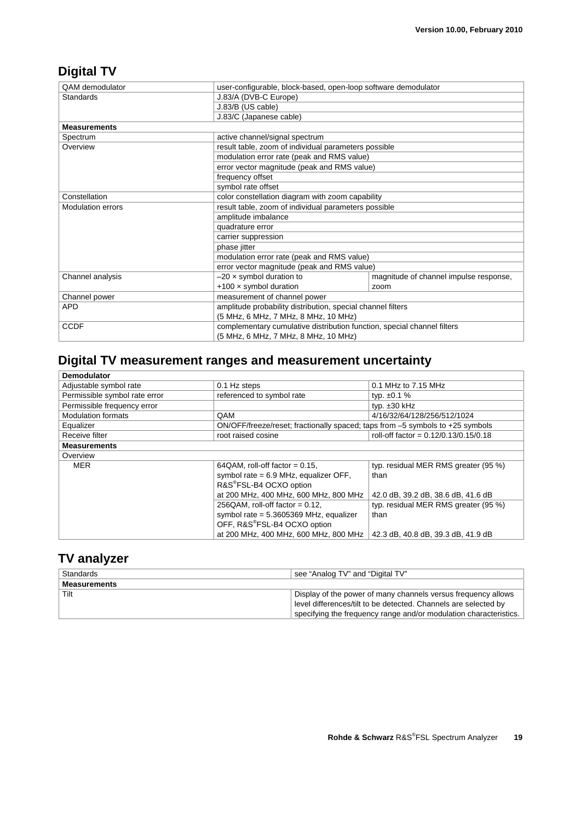### **Digital TV**

| <b>QAM</b> demodulator   |                                                      | user-configurable, block-based, open-loop software demodulator          |  |
|--------------------------|------------------------------------------------------|-------------------------------------------------------------------------|--|
| <b>Standards</b>         | J.83/A (DVB-C Europe)                                |                                                                         |  |
|                          | J.83/B (US cable)                                    |                                                                         |  |
|                          | J.83/C (Japanese cable)                              |                                                                         |  |
| <b>Measurements</b>      |                                                      |                                                                         |  |
| Spectrum                 | active channel/signal spectrum                       |                                                                         |  |
| Overview                 | result table, zoom of individual parameters possible |                                                                         |  |
|                          | modulation error rate (peak and RMS value)           |                                                                         |  |
|                          | error vector magnitude (peak and RMS value)          |                                                                         |  |
|                          | frequency offset                                     |                                                                         |  |
|                          | symbol rate offset                                   |                                                                         |  |
| Constellation            |                                                      | color constellation diagram with zoom capability                        |  |
| <b>Modulation errors</b> |                                                      | result table, zoom of individual parameters possible                    |  |
|                          | amplitude imbalance                                  |                                                                         |  |
|                          | quadrature error                                     |                                                                         |  |
|                          | carrier suppression                                  |                                                                         |  |
|                          | phase jitter                                         |                                                                         |  |
|                          | modulation error rate (peak and RMS value)           |                                                                         |  |
|                          |                                                      | error vector magnitude (peak and RMS value)                             |  |
| Channel analysis         | $-20 \times$ symbol duration to                      | magnitude of channel impulse response,                                  |  |
|                          | $+100 \times$ symbol duration                        | zoom                                                                    |  |
| Channel power            | measurement of channel power                         |                                                                         |  |
| <b>APD</b>               |                                                      | amplitude probability distribution, special channel filters             |  |
|                          |                                                      | (5 MHz, 6 MHz, 7 MHz, 8 MHz, 10 MHz)                                    |  |
| <b>CCDF</b>              |                                                      | complementary cumulative distribution function, special channel filters |  |
|                          |                                                      | (5 MHz, 6 MHz, 7 MHz, 8 MHz, 10 MHz)                                    |  |

## **Digital TV measurement ranges and measurement uncertainty**

| <b>Demodulator</b>            |                                                                               |                                         |
|-------------------------------|-------------------------------------------------------------------------------|-----------------------------------------|
| Adjustable symbol rate        | 0.1 Hz steps                                                                  | 0.1 MHz to 7.15 MHz                     |
| Permissible symbol rate error | referenced to symbol rate                                                     | typ. $\pm 0.1$ %                        |
| Permissible frequency error   |                                                                               | typ. $\pm 30$ kHz                       |
| <b>Modulation formats</b>     | QAM                                                                           | 4/16/32/64/128/256/512/1024             |
| Equalizer                     | ON/OFF/freeze/reset; fractionally spaced; taps from -5 symbols to +25 symbols |                                         |
| Receive filter                | root raised cosine                                                            | roll-off factor = $0.12/0.13/0.15/0.18$ |
| <b>Measurements</b>           |                                                                               |                                         |
| Overview                      |                                                                               |                                         |
| <b>MER</b>                    | 64QAM, roll-off factor = $0.15$ ,                                             | typ. residual MER RMS greater (95 %)    |
|                               | symbol rate = $6.9$ MHz, equalizer OFF,                                       | than                                    |
|                               | R&S®FSL-B4 OCXO option                                                        |                                         |
|                               | at 200 MHz, 400 MHz, 600 MHz, 800 MHz                                         | 42.0 dB, 39.2 dB, 38.6 dB, 41.6 dB      |
|                               | 256QAM, roll-off factor = $0.12$ ,                                            | typ. residual MER RMS greater (95 %)    |
|                               | symbol rate = 5.3605369 MHz, equalizer                                        | than                                    |
|                               | OFF, R&S®FSL-B4 OCXO option                                                   |                                         |
|                               | at 200 MHz, 400 MHz, 600 MHz, 800 MHz                                         | 42.3 dB, 40.8 dB, 39.3 dB, 41.9 dB      |

### **TV analyzer**

| Standards           | see "Analog TV" and "Digital TV"                                  |  |
|---------------------|-------------------------------------------------------------------|--|
| <b>Measurements</b> |                                                                   |  |
| Tilt                | Display of the power of many channels versus frequency allows     |  |
|                     | level differences/tilt to be detected. Channels are selected by   |  |
|                     | specifying the frequency range and/or modulation characteristics. |  |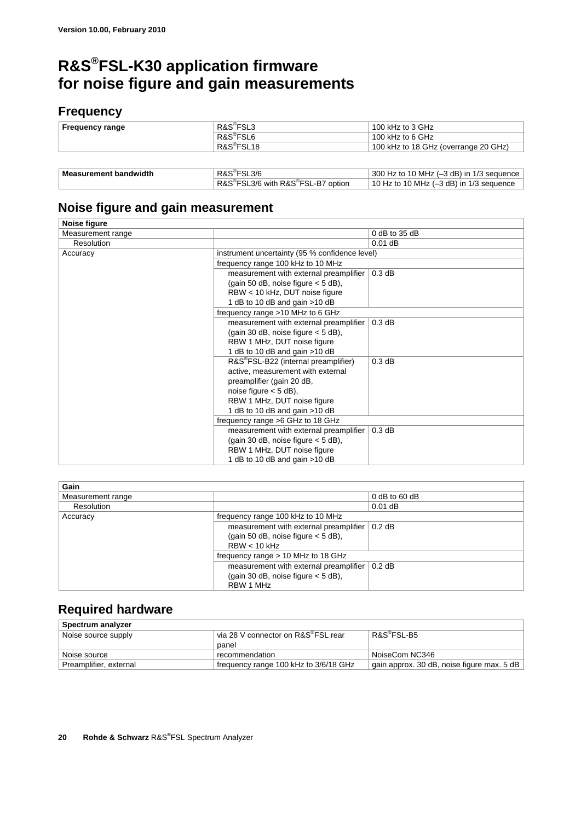## **R&S®FSL-K30 application firmware for noise figure and gain measurements**

### **Frequency**

| <b>Frequency range</b>       | R&S <sup>®</sup> FSL3   | 100 kHz to 3 GHz                         |
|------------------------------|-------------------------|------------------------------------------|
|                              | R&S <sup>®</sup> FSL6   | 100 kHz to 6 GHz                         |
|                              | R&S <sup>®</sup> FSL18  | 100 kHz to 18 GHz (overrange 20 GHz)     |
|                              |                         |                                          |
|                              |                         |                                          |
| <b>Measurement bandwidth</b> | R&S <sup>®</sup> FSL3/6 | 300 Hz to 10 MHz (-3 dB) in 1/3 sequence |

10 Hz to 10 MHz  $(-3$  dB) in 1/3 sequence

R&S<sup>®</sup>FSL3/6 with R&S<sup>®</sup>

### **Noise figure and gain measurement**

| Noise figure      |                                                  |                 |
|-------------------|--------------------------------------------------|-----------------|
| Measurement range |                                                  | $0$ dB to 35 dB |
| Resolution        |                                                  | $0.01$ dB       |
| Accuracy          | instrument uncertainty (95 % confidence level)   |                 |
|                   | frequency range 100 kHz to 10 MHz                |                 |
|                   | measurement with external preamplifier           | 0.3 dB          |
|                   | (gain 50 dB, noise figure $<$ 5 dB),             |                 |
|                   | RBW < 10 kHz, DUT noise figure                   |                 |
|                   | 1 dB to 10 dB and gain > 10 dB                   |                 |
|                   | frequency range >10 MHz to 6 GHz                 |                 |
|                   | measurement with external preamplifier           | 0.3 dB          |
|                   | (gain 30 dB, noise figure $<$ 5 dB),             |                 |
|                   | RBW 1 MHz, DUT noise figure                      |                 |
|                   | 1 dB to 10 dB and gain > 10 dB                   |                 |
|                   | R&S <sup>®</sup> FSL-B22 (internal preamplifier) | 0.3 dB          |
|                   | active, measurement with external                |                 |
|                   | preamplifier (gain 20 dB,                        |                 |
|                   | noise figure $<$ 5 dB),                          |                 |
|                   | RBW 1 MHz, DUT noise figure                      |                 |
|                   | 1 dB to 10 dB and gain > 10 dB                   |                 |
|                   | frequency range >6 GHz to 18 GHz                 |                 |
|                   | measurement with external preamplifier           | 0.3 dB          |
|                   | (gain 30 dB, noise figure $<$ 5 dB),             |                 |
|                   | RBW 1 MHz, DUT noise figure                      |                 |
|                   | 1 dB to 10 dB and gain > 10 dB                   |                 |

| Gain              |                                        |                 |
|-------------------|----------------------------------------|-----------------|
| Measurement range |                                        | $0$ dB to 60 dB |
| Resolution        |                                        | $0.01$ dB       |
| Accuracy          | frequency range 100 kHz to 10 MHz      |                 |
|                   | measurement with external preamplifier | $0.2$ dB        |
|                   | (gain 50 dB, noise figure $<$ 5 dB),   |                 |
|                   | $RBW < 10$ kHz                         |                 |
|                   | frequency range $> 10$ MHz to 18 GHz   |                 |
|                   | measurement with external preamplifier | $0.2$ dB        |
|                   | (gain 30 dB, noise figure $<$ 5 dB),   |                 |
|                   | RBW 1 MHz                              |                 |

### **Required hardware**

| Spectrum analyzer      |                                       |                                            |
|------------------------|---------------------------------------|--------------------------------------------|
| Noise source supply    | via 28 V connector on R&S®FSL rear    | R&S <sup>®</sup> FSL-B5                    |
|                        | panel                                 |                                            |
| Noise source           | recommendation                        | NoiseCom NC346                             |
| Preamplifier, external | frequency range 100 kHz to 3/6/18 GHz | gain approx. 30 dB, noise figure max. 5 dB |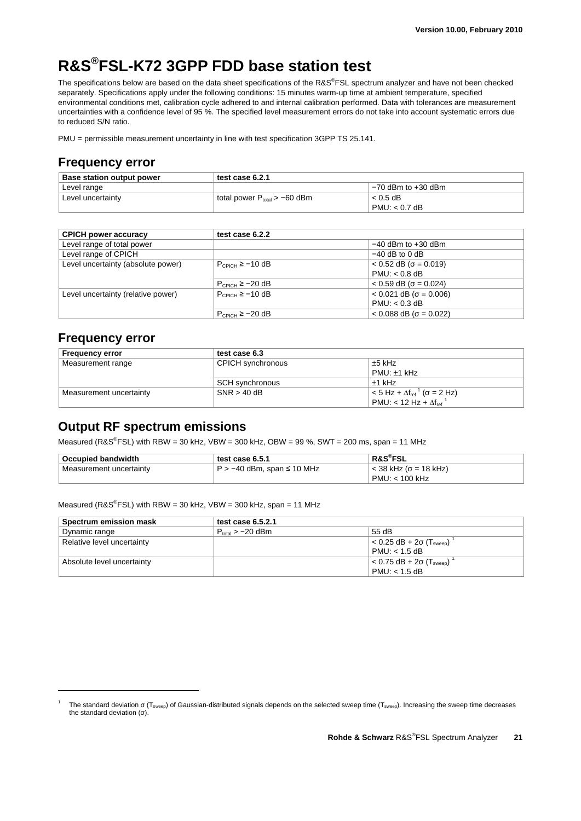## **R&S®FSL-K72 3GPP FDD base station test**

The specifications below are based on the data sheet specifications of the R&S®FSL spectrum analyzer and have not been checked separately. Specifications apply under the following conditions: 15 minutes warm-up time at ambient temperature, specified environmental conditions met, calibration cycle adhered to and internal calibration performed. Data with tolerances are measurement uncertainties with a confidence level of 95 %. The specified level measurement errors do not take into account systematic errors due to reduced S/N ratio.

PMU = permissible measurement uncertainty in line with test specification 3GPP TS 25.141.

#### **Frequency error**

| <b>Base station output power</b> | test case 6.2.1                   |                        |
|----------------------------------|-----------------------------------|------------------------|
| Level range                      |                                   | $-70$ dBm to $+30$ dBm |
| Level uncertainty                | total power $P_{total} > -60$ dBm | $< 0.5$ dB             |
|                                  |                                   | $PMU: < 0.7$ dB        |

| <b>CPICH power accuracy</b>        | test case 6.2.2        |                                   |
|------------------------------------|------------------------|-----------------------------------|
| Level range of total power         |                        | $-40$ dBm to $+30$ dBm            |
| Level range of CPICH               |                        | $-40$ dB to 0 dB                  |
| Level uncertainty (absolute power) | $P_{CPICH} \ge -10 dB$ | $< 0.52$ dB ( $\sigma = 0.019$ )  |
|                                    |                        | $PMU: < 0.8$ dB                   |
|                                    | $P_{CPICH} \ge -20 dB$ | $< 0.59$ dB ( $\sigma = 0.024$ )  |
| Level uncertainty (relative power) | $P_{CPICH} \ge -10$ dB | $< 0.021$ dB ( $\sigma = 0.006$ ) |
|                                    |                        | $PMU: < 0.3$ dB                   |
|                                    | $P_{CPICH} \ge -20 dB$ | $< 0.088$ dB ( $\sigma = 0.022$ ) |

#### **Frequency error**

-1

| <b>Frequency error</b>  | test case 6.3     |                                                             |  |
|-------------------------|-------------------|-------------------------------------------------------------|--|
| Measurement range       | CPICH synchronous | $\pm 5$ kHz                                                 |  |
|                         |                   | $PMU: \pm 1$ kHz                                            |  |
|                         | SCH synchronous   | $±1$ kHz                                                    |  |
| Measurement uncertainty | $SNR > 40$ dB     | $< 5$ Hz + $\Delta f_{ref}$ <sup>1</sup> ( $\sigma = 2$ Hz) |  |
|                         |                   | PMU: < 12 Hz + $\Delta f_{ref}$ <sup>1</sup>                |  |

### **Output RF spectrum emissions**

Measured (R&S<sup>®</sup>FSL) with RBW = 30 kHz, VBW = 300 kHz, OBW = 99 %, SWT = 200 ms, span = 11 MHz

| <b>Occupied bandwidth</b> | test case 6.5.1              | <b>R&amp;S®FSL</b>         |
|---------------------------|------------------------------|----------------------------|
| Measurement uncertainty   | l P > −40 dBm, span ≤ 10 MHz | $\sim$ 38 kHz (σ = 18 kHz) |
|                           |                              | $PMU: < 100$ kHz           |

Measured (R&S<sup>®</sup>FSL) with RBW = 30 kHz, VBW = 300 kHz, span = 11 MHz

| Spectrum emission mask     | test case $6.5.2.1$   |                                                |
|----------------------------|-----------------------|------------------------------------------------|
| Dynamic range              | $P_{total} > -20$ dBm | 55 dB                                          |
| Relative level uncertainty |                       | $< 0.25$ dB + 2 $\sigma$ (T <sub>sween</sub> ) |
|                            |                       | $PMU: < 1.5$ dB                                |
| Absolute level uncertainty |                       | $< 0.75$ dB + 2 $\sigma$ (T <sub>sween</sub> ) |
|                            |                       | $PMU: < 1.5$ dB                                |

The standard deviation σ (T<sub>sweep</sub>) of Gaussian-distributed signals depends on the selected sweep time (T<sub>sweep</sub>). Increasing the sweep time decreases the standard deviation  $(σ)$ .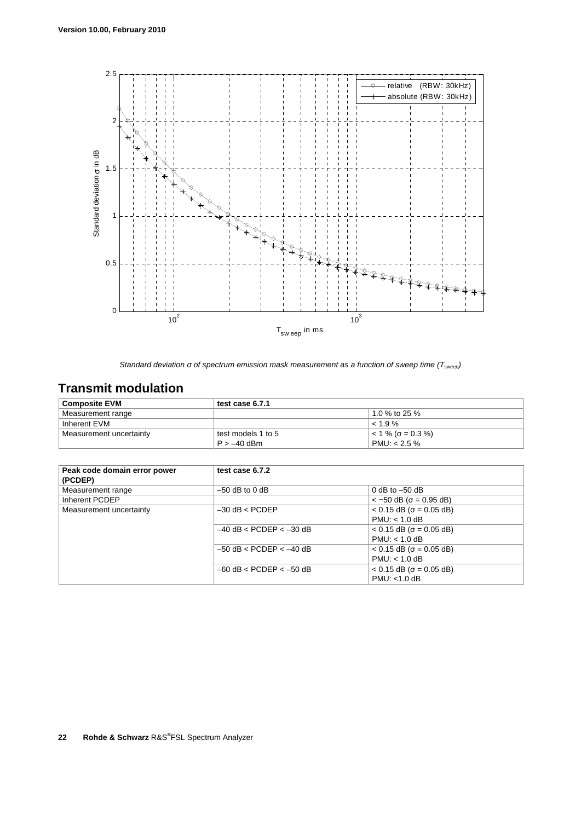

*Standard deviation σ of spectrum emission mask measurement as a function of sweep time (Tsweep)* 

## **Transmit modulation**

| <b>Composite EVM</b>    | test case 6.7.1    |                                   |
|-------------------------|--------------------|-----------------------------------|
| Measurement range       |                    | 1.0 % to 25 %                     |
| Inherent EVM            |                    | $\leq 1.9\%$                      |
| Measurement uncertainty | test models 1 to 5 | $\approx$ 1 % ( $\sigma$ = 0.3 %) |
|                         | $P > -40$ dBm      | PMU: $< 2.5 \%$                   |

| Peak code domain error power<br>(PCDEP) | test case 6.7.2             |                                   |
|-----------------------------------------|-----------------------------|-----------------------------------|
| Measurement range                       | $-50$ dB to 0 dB            | 0 dB to $-50$ dB                  |
| Inherent PCDEP                          |                             | $<-50$ dB ( $\sigma = 0.95$ dB)   |
| Measurement uncertainty                 | $-30$ dB $<$ PCDEP          | $< 0.15$ dB ( $\sigma = 0.05$ dB) |
|                                         |                             | PMU < 1.0 dB                      |
|                                         | $-40$ dB < PCDEP < $-30$ dB | $< 0.15$ dB ( $\sigma = 0.05$ dB) |
|                                         |                             | $PMU: < 1.0$ dB                   |
|                                         | $-50$ dB < PCDEP < $-40$ dB | $< 0.15$ dB ( $\sigma = 0.05$ dB) |
|                                         |                             | PMU: < 1.0 dB                     |
|                                         | $-60$ dB < PCDEP < $-50$ dB | $< 0.15$ dB ( $\sigma = 0.05$ dB) |
|                                         |                             | $PMU: < 1.0$ dB                   |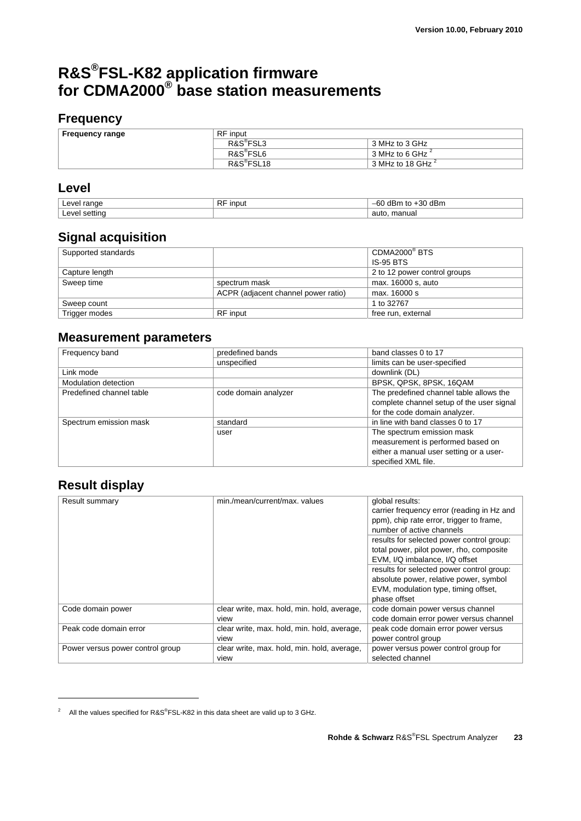## **R&S®FSL-K82 application firmware for CDMA2000® base station measurements**

### **Frequency**

| Frequency range | <b>RF</b> input        |                      |
|-----------------|------------------------|----------------------|
|                 | R&S <sup>®</sup> FSL3  | 3 MHz to 3 GHz       |
|                 | R&S <sup>®</sup> FSL6  | 3 MHz to 6 GHz $^2$  |
|                 | R&S <sup>®</sup> FSL18 | 3 MHz to 18 GHz $^2$ |

### **Level**

| A<br>ronac<br>нu                         | $\sim$<br>าวม<br>н<br>гv. | -IF.<br>o٢<br>' dBm<br>ю<br>- 3U<br>ື |
|------------------------------------------|---------------------------|---------------------------------------|
| $\bigcap$<br>$\sim$ $\sim$ $\sim$ $\sim$ |                           | manua<br>auto                         |

### **Signal acquisition**

| Supported standards |                                     | CDMA2000 <sup>®</sup> BTS    |
|---------------------|-------------------------------------|------------------------------|
|                     |                                     | IS-95 BTS                    |
| Capture length      |                                     | 2 to 12 power control groups |
| Sweep time          | spectrum mask                       | max. 16000 s, auto           |
|                     | ACPR (adjacent channel power ratio) | max. 16000 s                 |
| Sweep count         |                                     | 1 to 32767                   |
| Trigger modes       | <b>RF</b> input                     | free run, external           |

### **Measurement parameters**

| Frequency band           | predefined bands     | band classes 0 to 17                                                                 |
|--------------------------|----------------------|--------------------------------------------------------------------------------------|
|                          | unspecified          | limits can be user-specified                                                         |
| Link mode                |                      | downlink (DL)                                                                        |
| Modulation detection     |                      | BPSK, QPSK, 8PSK, 16QAM                                                              |
| Predefined channel table | code domain analyzer | The predefined channel table allows the<br>complete channel setup of the user signal |
|                          |                      | for the code domain analyzer.                                                        |
| Spectrum emission mask   | standard             | in line with band classes 0 to 17                                                    |
|                          | user                 | The spectrum emission mask<br>measurement is performed based on                      |
|                          |                      | either a manual user setting or a user-<br>specified XML file.                       |

### **Result display**

| Result summary                   | min./mean/current/max. values                       | global results:<br>carrier frequency error (reading in Hz and<br>ppm), chip rate error, trigger to frame,<br>number of active channels      |
|----------------------------------|-----------------------------------------------------|---------------------------------------------------------------------------------------------------------------------------------------------|
|                                  |                                                     | results for selected power control group:<br>total power, pilot power, rho, composite<br>EVM, I/Q imbalance, I/Q offset                     |
|                                  |                                                     | results for selected power control group:<br>absolute power, relative power, symbol<br>EVM, modulation type, timing offset,<br>phase offset |
| Code domain power                | clear write, max. hold, min. hold, average,<br>view | code domain power versus channel<br>code domain error power versus channel                                                                  |
| Peak code domain error           | clear write, max. hold, min. hold, average,<br>view | peak code domain error power versus<br>power control group                                                                                  |
| Power versus power control group | clear write, max. hold, min. hold, average,<br>view | power versus power control group for<br>selected channel                                                                                    |

<sup>&</sup>lt;sup>2</sup> All the values specified for R&S<sup>®</sup>FSL-K82 in this data sheet are valid up to 3 GHz.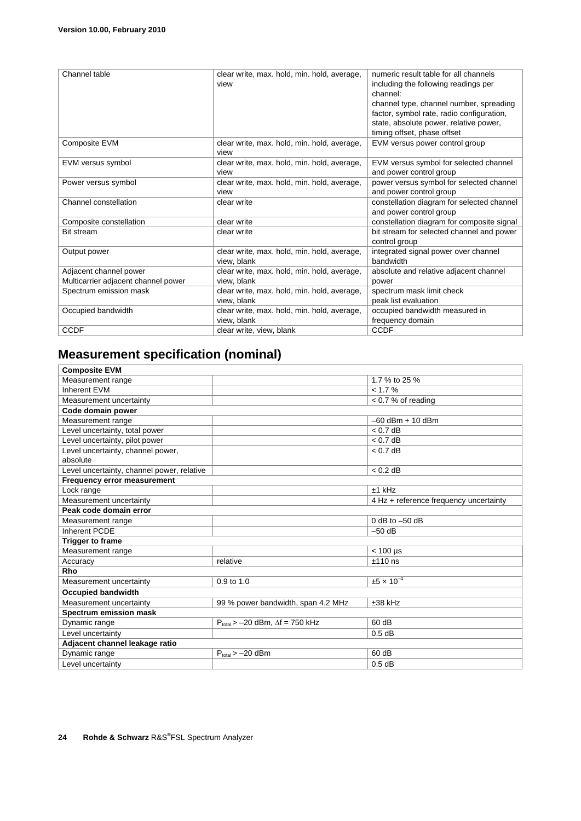| Channel table                       | clear write, max. hold, min. hold, average, | numeric result table for all channels      |
|-------------------------------------|---------------------------------------------|--------------------------------------------|
|                                     | view                                        | including the following readings per       |
|                                     |                                             | channel:                                   |
|                                     |                                             | channel type, channel number, spreading    |
|                                     |                                             | factor, symbol rate, radio configuration,  |
|                                     |                                             | state, absolute power, relative power,     |
|                                     |                                             | timing offset, phase offset                |
| Composite EVM                       | clear write, max. hold, min. hold, average, | EVM versus power control group             |
|                                     | view                                        |                                            |
| EVM versus symbol                   | clear write, max. hold, min. hold, average, | EVM versus symbol for selected channel     |
|                                     | view                                        | and power control group                    |
| Power versus symbol                 | clear write, max. hold, min. hold, average, | power versus symbol for selected channel   |
|                                     | view                                        | and power control group                    |
| Channel constellation               | clear write                                 | constellation diagram for selected channel |
|                                     |                                             | and power control group                    |
| Composite constellation             | clear write                                 | constellation diagram for composite signal |
| <b>Bit stream</b>                   | clear write                                 | bit stream for selected channel and power  |
|                                     |                                             | control group                              |
| Output power                        | clear write, max. hold, min. hold, average, | integrated signal power over channel       |
|                                     | view, blank                                 | bandwidth                                  |
| Adjacent channel power              | clear write, max. hold, min. hold, average, | absolute and relative adjacent channel     |
| Multicarrier adjacent channel power | view, blank                                 | power                                      |
| Spectrum emission mask              | clear write, max. hold, min. hold, average, | spectrum mask limit check                  |
|                                     | view, blank                                 | peak list evaluation                       |
| Occupied bandwidth                  | clear write, max. hold, min. hold, average, | occupied bandwidth measured in             |
|                                     | view, blank                                 | frequency domain                           |
| <b>CCDF</b>                         | clear write, view, blank                    | <b>CCDF</b>                                |

## **Measurement specification (nominal)**

| <b>Composite EVM</b>                       |                                             |                                        |  |
|--------------------------------------------|---------------------------------------------|----------------------------------------|--|
| Measurement range                          |                                             | 1.7 % to 25 %                          |  |
| Inherent EVM                               |                                             | < 1.7 %                                |  |
| Measurement uncertainty                    |                                             | $< 0.7$ % of reading                   |  |
| Code domain power                          |                                             |                                        |  |
| Measurement range                          |                                             | $-60$ dBm $+ 10$ dBm                   |  |
| Level uncertainty, total power             |                                             | $< 0.7$ dB                             |  |
| Level uncertainty, pilot power             |                                             | $< 0.7$ dB                             |  |
| Level uncertainty, channel power,          |                                             | $< 0.7$ dB                             |  |
| absolute                                   |                                             |                                        |  |
| Level uncertainty, channel power, relative |                                             | $< 0.2$ dB                             |  |
| <b>Frequency error measurement</b>         |                                             |                                        |  |
| Lock range                                 |                                             | $±1$ kHz                               |  |
| Measurement uncertainty                    |                                             | 4 Hz + reference frequency uncertainty |  |
| Peak code domain error                     |                                             |                                        |  |
| Measurement range                          |                                             | $0$ dB to $-50$ dB                     |  |
| Inherent PCDE                              |                                             | $-50$ dB                               |  |
| <b>Trigger to frame</b>                    |                                             |                                        |  |
| Measurement range                          |                                             | $< 100$ µs                             |  |
| Accuracy                                   | relative                                    | $±110$ ns                              |  |
| Rho                                        |                                             |                                        |  |
| Measurement uncertainty                    | 0.9 to 1.0                                  | $±5 \times 10^{-4}$                    |  |
| <b>Occupied bandwidth</b>                  |                                             |                                        |  |
| Measurement uncertainty                    | 99 % power bandwidth, span 4.2 MHz          | $±38$ kHz                              |  |
| <b>Spectrum emission mask</b>              |                                             |                                        |  |
| Dynamic range                              | $P_{total}$ > -20 dBm, $\Delta f$ = 750 kHz | 60 dB                                  |  |
| Level uncertainty                          |                                             | $0.5$ dB                               |  |
| Adjacent channel leakage ratio             |                                             |                                        |  |
| Dynamic range                              | $P_{total} > -20$ dBm                       | 60 dB                                  |  |
| Level uncertainty                          |                                             | $0.5$ dB                               |  |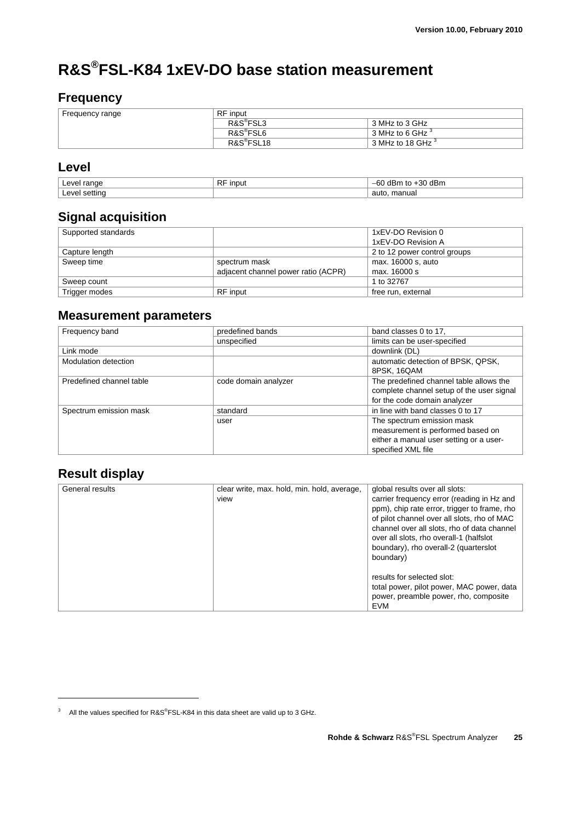## **R&S®FSL-K84 1xEV-DO base station measurement**

### **Frequency**

| Frequency range | <b>RF</b> input        |                              |  |
|-----------------|------------------------|------------------------------|--|
|                 | R&S <sup>®</sup> FSL3  | 3 MHz to 3 GHz               |  |
|                 | R&S <sup>®</sup> FSL6  | 3 MHz to 6 GHz <sup>3</sup>  |  |
|                 | R&S <sup>®</sup> FSL18 | 3 MHz to 18 GHz <sup>3</sup> |  |

### **Level**

| A<br>range<br>пu | $\overline{D}$<br>input<br>πr | ᆀᄆᅠᅭ<br>o٢<br>'' abn.<br>י<br>w. |
|------------------|-------------------------------|----------------------------------|
| A<br>cotting     |                               | manual<br>auto                   |

### **Signal acquisition**

| Supported standards |                                     | 1xEV-DO Revision 0           |
|---------------------|-------------------------------------|------------------------------|
|                     |                                     | 1xEV-DO Revision A           |
| Capture length      |                                     | 2 to 12 power control groups |
| Sweep time          | spectrum mask                       | max. 16000 s, auto           |
|                     | adjacent channel power ratio (ACPR) | max. 16000 s                 |
| Sweep count         |                                     | 1 to 32767                   |
| Trigger modes       | RF input                            | free run, external           |

### **Measurement parameters**

| Frequency band           | predefined bands     | band classes 0 to 17.                     |
|--------------------------|----------------------|-------------------------------------------|
|                          | unspecified          | limits can be user-specified              |
| Link mode                |                      | downlink (DL)                             |
| Modulation detection     |                      | automatic detection of BPSK, QPSK,        |
|                          |                      | 8PSK, 16QAM                               |
| Predefined channel table | code domain analyzer | The predefined channel table allows the   |
|                          |                      | complete channel setup of the user signal |
|                          |                      | for the code domain analyzer              |
| Spectrum emission mask   | standard             | in line with band classes 0 to 17         |
|                          | user                 | The spectrum emission mask                |
|                          |                      | measurement is performed based on         |
|                          |                      | either a manual user setting or a user-   |
|                          |                      | specified XML file                        |

### **Result display**

| General results | clear write, max. hold, min. hold, average,<br>view | global results over all slots:<br>carrier frequency error (reading in Hz and<br>ppm), chip rate error, trigger to frame, rho<br>of pilot channel over all slots, rho of MAC<br>channel over all slots, rho of data channel<br>over all slots, rho overall-1 (halfslot<br>boundary), rho overall-2 (quarterslot<br>boundary) |
|-----------------|-----------------------------------------------------|-----------------------------------------------------------------------------------------------------------------------------------------------------------------------------------------------------------------------------------------------------------------------------------------------------------------------------|
|                 |                                                     | results for selected slot:<br>total power, pilot power, MAC power, data<br>power, preamble power, rho, composite<br><b>EVM</b>                                                                                                                                                                                              |

<sup>&</sup>lt;sup>3</sup> All the values specified for R&S<sup>®</sup>FSL-K84 in this data sheet are valid up to 3 GHz.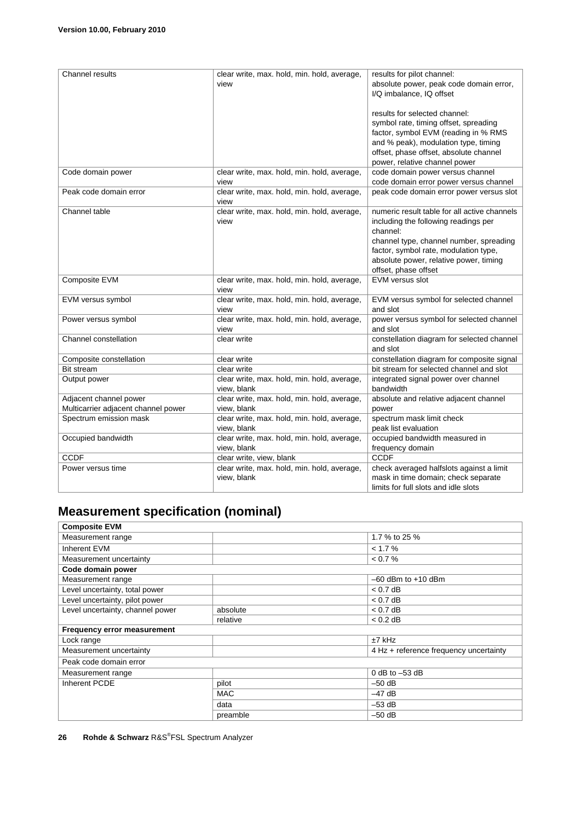| Channel results                     | clear write, max. hold, min. hold, average, | results for pilot channel:                   |
|-------------------------------------|---------------------------------------------|----------------------------------------------|
|                                     | view                                        | absolute power, peak code domain error,      |
|                                     |                                             | I/Q imbalance, IQ offset                     |
|                                     |                                             |                                              |
|                                     |                                             | results for selected channel:                |
|                                     |                                             | symbol rate, timing offset, spreading        |
|                                     |                                             | factor, symbol EVM (reading in % RMS         |
|                                     |                                             | and % peak), modulation type, timing         |
|                                     |                                             | offset, phase offset, absolute channel       |
|                                     |                                             | power, relative channel power                |
| Code domain power                   | clear write, max. hold, min. hold, average, | code domain power versus channel             |
|                                     | view                                        | code domain error power versus channel       |
| Peak code domain error              | clear write, max. hold, min. hold, average, | peak code domain error power versus slot     |
|                                     | view                                        |                                              |
| Channel table                       | clear write, max. hold, min. hold, average, | numeric result table for all active channels |
|                                     | view                                        | including the following readings per         |
|                                     |                                             | channel:                                     |
|                                     |                                             | channel type, channel number, spreading      |
|                                     |                                             | factor, symbol rate, modulation type,        |
|                                     |                                             | absolute power, relative power, timing       |
|                                     |                                             | offset, phase offset                         |
| Composite EVM                       | clear write, max. hold, min. hold, average, | <b>EVM versus slot</b>                       |
|                                     | view                                        |                                              |
| EVM versus symbol                   | clear write, max. hold, min. hold, average, | EVM versus symbol for selected channel       |
|                                     | view                                        | and slot                                     |
| Power versus symbol                 | clear write, max. hold, min. hold, average, | power versus symbol for selected channel     |
|                                     | view                                        | and slot                                     |
| Channel constellation               | clear write                                 | constellation diagram for selected channel   |
|                                     |                                             | and slot                                     |
| Composite constellation             | clear write                                 | constellation diagram for composite signal   |
| <b>Bit stream</b>                   | clear write                                 | bit stream for selected channel and slot     |
| Output power                        | clear write, max. hold, min. hold, average, | integrated signal power over channel         |
|                                     | view, blank                                 | bandwidth                                    |
| Adjacent channel power              | clear write, max. hold, min. hold, average, | absolute and relative adjacent channel       |
| Multicarrier adjacent channel power | view, blank                                 | power                                        |
| Spectrum emission mask              | clear write, max. hold, min. hold, average, | spectrum mask limit check                    |
|                                     | view, blank                                 | peak list evaluation                         |
| Occupied bandwidth                  | clear write, max. hold, min. hold, average, | occupied bandwidth measured in               |
|                                     | view, blank                                 | frequency domain                             |
| <b>CCDF</b>                         | clear write, view, blank                    | CCDF                                         |
| Power versus time                   | clear write, max. hold, min. hold, average, | check averaged halfslots against a limit     |
|                                     | view, blank                                 | mask in time domain; check separate          |
|                                     |                                             | limits for full slots and idle slots         |

## **Measurement specification (nominal)**

| <b>Composite EVM</b>             |            |                                        |  |
|----------------------------------|------------|----------------------------------------|--|
| Measurement range                |            | 1.7 % to 25 %                          |  |
| Inherent EVM                     |            | < 1.7 %                                |  |
| Measurement uncertainty          |            | < 0.7 %                                |  |
| Code domain power                |            |                                        |  |
| Measurement range                |            | $-60$ dBm to $+10$ dBm                 |  |
| Level uncertainty, total power   |            | $< 0.7$ dB                             |  |
| Level uncertainty, pilot power   |            | $< 0.7$ dB                             |  |
| Level uncertainty, channel power | absolute   | $< 0.7$ dB                             |  |
|                                  | relative   | $< 0.2$ dB                             |  |
| Frequency error measurement      |            |                                        |  |
| Lock range                       |            | $±7$ kHz                               |  |
| Measurement uncertainty          |            | 4 Hz + reference frequency uncertainty |  |
| Peak code domain error           |            |                                        |  |
| Measurement range                |            | 0 dB to $-53$ dB                       |  |
| Inherent PCDE                    | pilot      | $-50$ dB                               |  |
|                                  | <b>MAC</b> | $-47$ dB                               |  |
|                                  | data       | $-53$ dB                               |  |
|                                  | preamble   | $-50$ dB                               |  |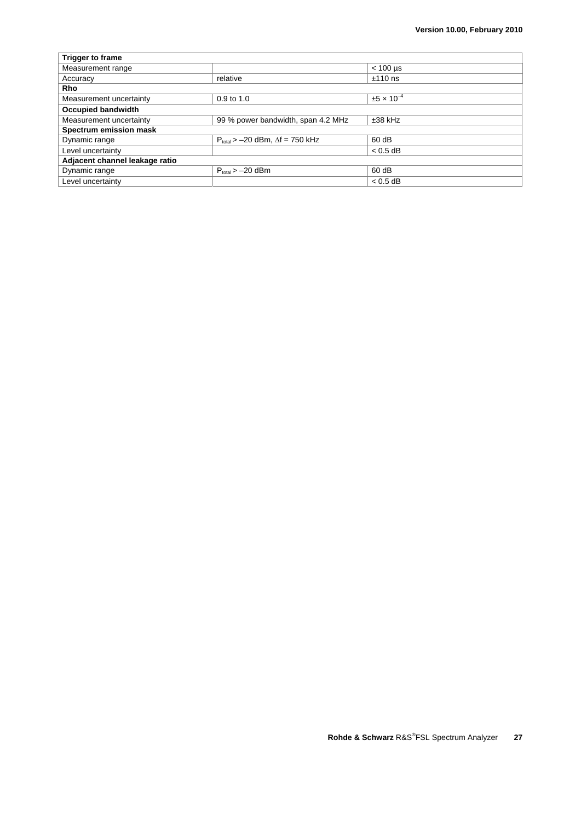| <b>Trigger to frame</b>        |                                             |                        |
|--------------------------------|---------------------------------------------|------------------------|
| Measurement range              |                                             | $< 100$ µs             |
| Accuracy                       | relative                                    | $±110$ ns              |
| <b>Rho</b>                     |                                             |                        |
| Measurement uncertainty        | $0.9$ to $1.0$                              | $\pm 5 \times 10^{-4}$ |
| <b>Occupied bandwidth</b>      |                                             |                        |
| Measurement uncertainty        | 99 % power bandwidth, span 4.2 MHz          | $±38$ kHz              |
| Spectrum emission mask         |                                             |                        |
| Dynamic range                  | $P_{total}$ > -20 dBm, $\Delta f$ = 750 kHz | 60 dB                  |
| Level uncertainty              |                                             | $< 0.5$ dB             |
| Adjacent channel leakage ratio |                                             |                        |
| Dynamic range                  | $P_{total} > -20$ dBm                       | 60 dB                  |
| Level uncertainty              |                                             | $< 0.5$ dB             |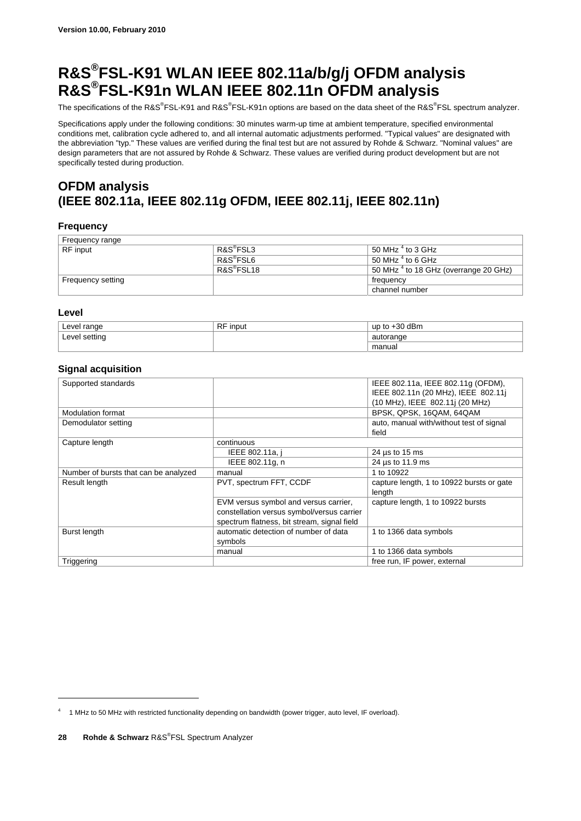## **R&S®FSL-K91 WLAN IEEE 802.11a/b/g/j OFDM analysis R&S®FSL-K91n WLAN IEEE 802.11n OFDM analysis**

The specifications of the R&S®FSL-K91 and R&S®FSL-K91n options are based on the data sheet of the R&S®FSL spectrum analyzer.

Specifications apply under the following conditions: 30 minutes warm-up time at ambient temperature, specified environmental conditions met, calibration cycle adhered to, and all internal automatic adjustments performed. "Typical values" are designated with the abbreviation "typ." These values are verified during the final test but are not assured by Rohde & Schwarz. "Nominal values" are design parameters that are not assured by Rohde & Schwarz. These values are verified during product development but are not specifically tested during production.

### **OFDM analysis (IEEE 802.11a, IEEE 802.11g OFDM, IEEE 802.11j, IEEE 802.11n)**

#### **Frequency**

| Frequency range   |                        |                                                  |
|-------------------|------------------------|--------------------------------------------------|
| <b>RF</b> input   | R&S <sup>®</sup> FSL3  | 50 MHz $^4$ to 3 GHz                             |
|                   | R&S <sup>®</sup> FSL6  | 50 MHz $^4$ to 6 GHz                             |
|                   | R&S <sup>®</sup> FSL18 | 50 MHz <sup>4</sup> to 18 GHz (overrange 20 GHz) |
| Frequency setting |                        | frequency                                        |
|                   |                        | channel number                                   |

#### **Level**

<u>.</u>

| Level range   | <b>RF</b><br>⊺input | up to $+30$ dBm |
|---------------|---------------------|-----------------|
| Level setting |                     | autorange       |
|               |                     | manual          |

#### **Signal acquisition**

| Supported standards                   |                                             | IEEE 802.11a, IEEE 802.11g (OFDM),        |
|---------------------------------------|---------------------------------------------|-------------------------------------------|
|                                       |                                             | IEEE 802.11n (20 MHz), IEEE 802.11j       |
|                                       |                                             | (10 MHz), IEEE 802.11j (20 MHz)           |
| <b>Modulation format</b>              |                                             | BPSK, QPSK, 16QAM, 64QAM                  |
| Demodulator setting                   |                                             | auto, manual with/without test of signal  |
|                                       |                                             | field                                     |
| Capture length                        | continuous                                  |                                           |
|                                       | IEEE 802.11a, i                             | 24 $\mu$ s to 15 ms                       |
|                                       | IEEE 802.11g, n                             | 24 µs to 11.9 ms                          |
| Number of bursts that can be analyzed | manual                                      | 1 to 10922                                |
| Result length                         | PVT, spectrum FFT, CCDF                     | capture length, 1 to 10922 bursts or gate |
|                                       |                                             | length                                    |
|                                       | EVM versus symbol and versus carrier,       | capture length, 1 to 10922 bursts         |
|                                       | constellation versus symbol/versus carrier  |                                           |
|                                       | spectrum flatness, bit stream, signal field |                                           |
| Burst length                          | automatic detection of number of data       | 1 to 1366 data symbols                    |
|                                       | symbols                                     |                                           |
|                                       | manual                                      | 1 to 1366 data symbols                    |
| Triggering                            |                                             | free run, IF power, external              |

<sup>4</sup> 1 MHz to 50 MHz with restricted functionality depending on bandwidth (power trigger, auto level, IF overload).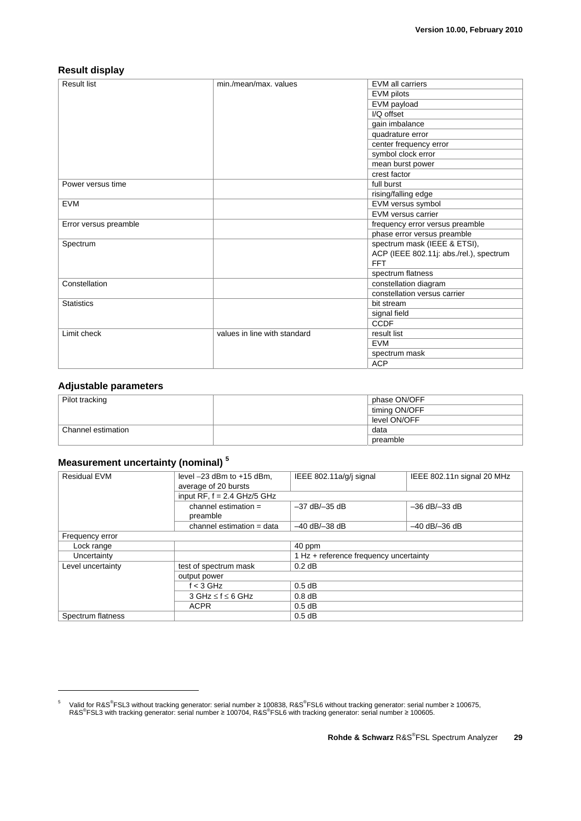#### **Result display**

| <b>Result list</b>    | min./mean/max. values        | <b>EVM all carriers</b>                 |
|-----------------------|------------------------------|-----------------------------------------|
|                       |                              | EVM pilots                              |
|                       |                              | EVM payload                             |
|                       |                              | I/Q offset                              |
|                       |                              | gain imbalance                          |
|                       |                              | quadrature error                        |
|                       |                              | center frequency error                  |
|                       |                              | symbol clock error                      |
|                       |                              | mean burst power                        |
|                       |                              | crest factor                            |
| Power versus time     |                              | full burst                              |
|                       |                              | rising/falling edge                     |
| <b>EVM</b>            |                              | EVM versus symbol                       |
|                       |                              | EVM versus carrier                      |
| Error versus preamble |                              | frequency error versus preamble         |
|                       |                              | phase error versus preamble             |
| Spectrum              |                              | spectrum mask (IEEE & ETSI),            |
|                       |                              | ACP (IEEE 802.11j: abs./rel.), spectrum |
|                       |                              | <b>FFT</b>                              |
|                       |                              | spectrum flatness                       |
| Constellation         |                              | constellation diagram                   |
|                       |                              | constellation versus carrier            |
| <b>Statistics</b>     |                              | bit stream                              |
|                       |                              | signal field                            |
|                       |                              | <b>CCDF</b>                             |
| Limit check           | values in line with standard | result list                             |
|                       |                              | <b>EVM</b>                              |
|                       |                              | spectrum mask                           |
|                       |                              | <b>ACP</b>                              |

#### **Adjustable parameters**

-

| Pilot tracking     | phase ON/OFF  |  |
|--------------------|---------------|--|
|                    | timing ON/OFF |  |
|                    | level ON/OFF  |  |
| Channel estimation | data          |  |
|                    | preamble      |  |

### **Measurement uncertainty (nominal) 5**

| <b>Residual EVM</b> | level $-23$ dBm to $+15$ dBm,<br>average of 20 bursts | IEEE 802.11a/g/j signal                | IEEE 802.11n signal 20 MHz |
|---------------------|-------------------------------------------------------|----------------------------------------|----------------------------|
|                     | input $RF, f = 2.4$ GHz/5 GHz                         |                                        |                            |
|                     | channel estimation $=$<br>preamble                    | $-37$ dB/ $-35$ dB                     | $-36$ dB/ $-33$ dB         |
|                     | channel estimation = data                             | $-40$ dB/ $-38$ dB                     | $-40$ dB/ $-36$ dB         |
| Frequency error     |                                                       |                                        |                            |
| Lock range          |                                                       | 40 ppm                                 |                            |
| Uncertainty         |                                                       | 1 Hz + reference frequency uncertainty |                            |
| Level uncertainty   | test of spectrum mask                                 | $0.2$ dB                               |                            |
|                     | output power                                          |                                        |                            |
|                     | $f < 3$ GHz                                           | $0.5$ dB                               |                            |
|                     | $3$ GHz $\leq$ f $\leq$ 6 GHz                         | $0.8$ dB                               |                            |
|                     | <b>ACPR</b>                                           | $0.5$ dB                               |                            |
| Spectrum flatness   |                                                       | $0.5$ dB                               |                            |

<sup>&</sup>lt;sup>5</sup> Valid for R&S<sup>®</sup>FSL3 without tracking generator: serial number ≥ 100838, R&S<sup>®</sup>FSL6 without tracking generator: serial number ≥ 100675,<br>R&S<sup>®</sup>FSL3 with tracking generator: serial number ≥ 100704, R&S<sup>®</sup>FSL6 with track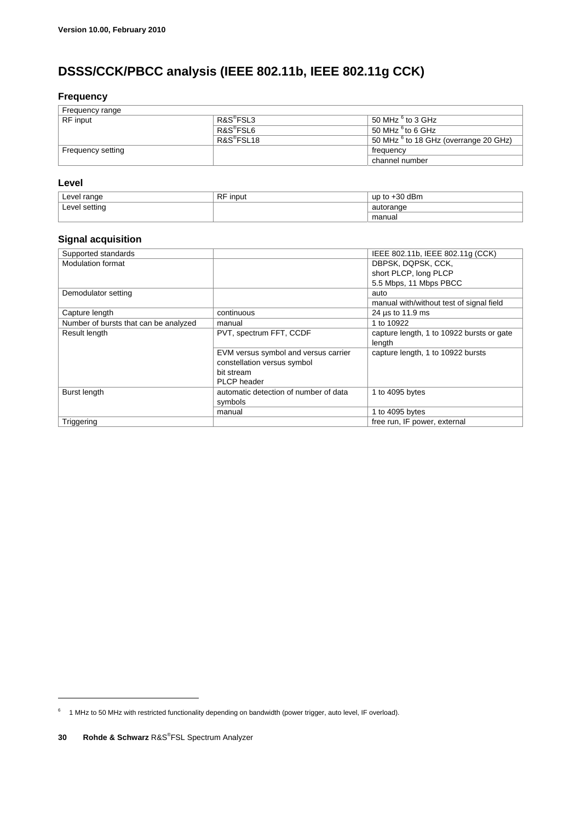### **DSSS/CCK/PBCC analysis (IEEE 802.11b, IEEE 802.11g CCK)**

#### **Frequency**

| Frequency range   |                        |                                                  |
|-------------------|------------------------|--------------------------------------------------|
| RF input          | R&S <sup>®</sup> FSL3  | 50 MHz $6$ to 3 GHz                              |
|                   | R&S <sup>®</sup> FSL6  | 50 MHz $6$ to 6 GHz                              |
|                   | R&S <sup>®</sup> FSL18 | 50 MHz <sup>6</sup> to 18 GHz (overrange 20 GHz) |
| Frequency setting |                        | frequency                                        |
|                   |                        | channel number                                   |

#### **Level**

| Level range   | <b>DE</b><br><b>input</b><br>πı | dBm<br>ാറ<br>up<br>ΩU |
|---------------|---------------------------------|-----------------------|
| Level setting |                                 | autorange             |
|               |                                 | manual                |

### **Signal acquisition**

| Supported standards                   |                                       | IEEE 802.11b, IEEE 802.11g (CCK)          |
|---------------------------------------|---------------------------------------|-------------------------------------------|
| <b>Modulation format</b>              |                                       | DBPSK, DQPSK, CCK,                        |
|                                       |                                       | short PLCP, long PLCP                     |
|                                       |                                       | 5.5 Mbps, 11 Mbps PBCC                    |
| Demodulator setting                   |                                       | auto                                      |
|                                       |                                       | manual with/without test of signal field  |
| Capture length                        | continuous                            | 24 us to 11.9 ms                          |
| Number of bursts that can be analyzed | manual                                | 1 to 10922                                |
| Result length                         | PVT, spectrum FFT, CCDF               | capture length, 1 to 10922 bursts or gate |
|                                       |                                       | length                                    |
|                                       | EVM versus symbol and versus carrier  | capture length, 1 to 10922 bursts         |
|                                       | constellation versus symbol           |                                           |
|                                       | bit stream                            |                                           |
|                                       | <b>PLCP</b> header                    |                                           |
| Burst length                          | automatic detection of number of data | 1 to 4095 bytes                           |
|                                       | symbols                               |                                           |
|                                       | manual                                | 1 to 4095 bytes                           |
| Triggering                            |                                       | free run, IF power, external              |

 $6$  1 MHz to 50 MHz with restricted functionality depending on bandwidth (power trigger, auto level, IF overload).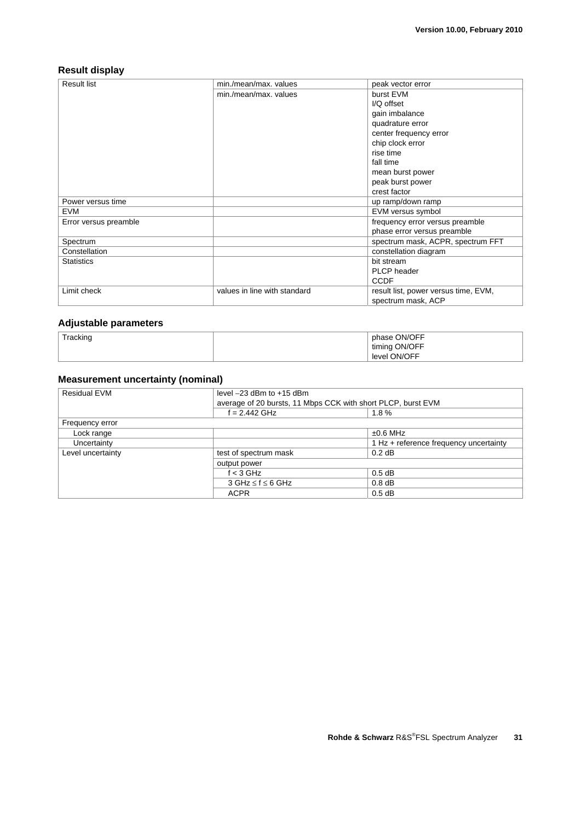#### **Result display**

| <b>Result list</b>    | min./mean/max. values        | peak vector error                    |
|-----------------------|------------------------------|--------------------------------------|
|                       | min./mean/max. values        | burst EVM                            |
|                       |                              | I/Q offset                           |
|                       |                              | gain imbalance                       |
|                       |                              | quadrature error                     |
|                       |                              | center frequency error               |
|                       |                              | chip clock error                     |
|                       |                              | rise time                            |
|                       |                              | fall time                            |
|                       |                              | mean burst power                     |
|                       |                              | peak burst power                     |
|                       |                              | crest factor                         |
| Power versus time     |                              | up ramp/down ramp                    |
| <b>EVM</b>            |                              | EVM versus symbol                    |
| Error versus preamble |                              | frequency error versus preamble      |
|                       |                              | phase error versus preamble          |
| Spectrum              |                              | spectrum mask, ACPR, spectrum FFT    |
| Constellation         |                              | constellation diagram                |
| <b>Statistics</b>     |                              | bit stream                           |
|                       |                              | PLCP header                          |
|                       |                              | <b>CCDF</b>                          |
| Limit check           | values in line with standard | result list, power versus time, EVM, |
|                       |                              | spectrum mask, ACP                   |

#### **Adjustable parameters**

| Tracking | phase ON/OFF  |
|----------|---------------|
|          | timing ON/OFF |
|          | level ON/OFF  |

#### **Measurement uncertainty (nominal)**

| <b>Residual EVM</b> | level $-23$ dBm to $+15$ dBm<br>average of 20 bursts, 11 Mbps CCK with short PLCP, burst EVM |                                        |  |
|---------------------|----------------------------------------------------------------------------------------------|----------------------------------------|--|
|                     |                                                                                              |                                        |  |
|                     | $f = 2.442$ GHz                                                                              | $1.8 \%$                               |  |
| Frequency error     |                                                                                              |                                        |  |
| Lock range          |                                                                                              | $±0.6$ MHz                             |  |
| Uncertainty         |                                                                                              | 1 Hz + reference frequency uncertainty |  |
| Level uncertainty   | test of spectrum mask                                                                        | $0.2$ dB                               |  |
|                     | output power                                                                                 |                                        |  |
|                     | $f < 3$ GHz                                                                                  | $0.5$ dB                               |  |
|                     | $3$ GHz $\leq$ f $\leq$ 6 GHz                                                                | $0.8$ dB                               |  |
|                     | <b>ACPR</b>                                                                                  | $0.5$ dB                               |  |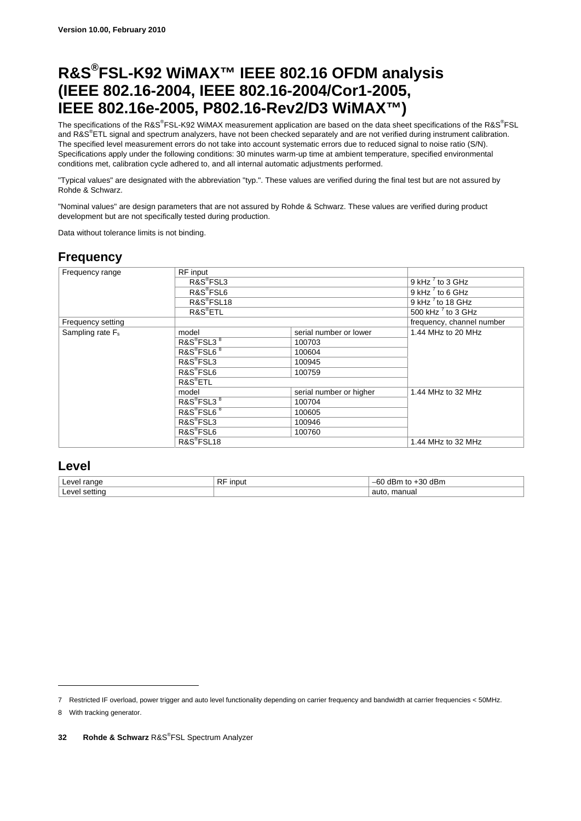## **R&S®FSL-K92 WiMAX™ IEEE 802.16 OFDM analysis (IEEE 802.16-2004, IEEE 802.16-2004/Cor1-2005, IEEE 802.16e-2005, P802.16-Rev2/D3 WiMAX™)**

The specifications of the R&S®FSL-K92 WiMAX measurement application are based on the data sheet specifications of the R&S®FSL and R&S®ETL signal and spectrum analyzers, have not been checked separately and are not verified during instrument calibration. The specified level measurement errors do not take into account systematic errors due to reduced signal to noise ratio (S/N). Specifications apply under the following conditions: 30 minutes warm-up time at ambient temperature, specified environmental conditions met, calibration cycle adhered to, and all internal automatic adjustments performed.

"Typical values" are designated with the abbreviation "typ.". These values are verified during the final test but are not assured by Rohde & Schwarz.

"Nominal values" are design parameters that are not assured by Rohde & Schwarz. These values are verified during product development but are not specifically tested during production.

Data without tolerance limits is not binding.

### **Frequency**

| Frequency range     | RF input                           |                         |                           |
|---------------------|------------------------------------|-------------------------|---------------------------|
|                     | R&S <sup>®</sup> FSL3              |                         | 9 kHz $^7$ to 3 GHz       |
|                     | R&S <sup>®</sup> FSL6              |                         | 9 kHz $^7$ to 6 GHz       |
|                     | R&S®FSL18                          |                         | 9 kHz $^7$ to 18 GHz      |
|                     | $R\&S^{\circ}ETL$                  |                         | 500 kHz $^7$ to 3 GHz     |
| Frequency setting   |                                    |                         | frequency, channel number |
| Sampling rate $F_s$ | model                              | serial number or lower  | 1.44 MHz to 20 MHz        |
|                     | R&S <sup>®</sup> FSL3 <sup>8</sup> | 100703                  |                           |
|                     | R&S <sup>®</sup> FSL6 <sup>8</sup> | 100604                  |                           |
|                     | R&S <sup>®</sup> FSL3              | 100945                  |                           |
|                     | R&S <sup>®</sup> FSL6              | 100759                  |                           |
|                     | R&S <sup>®</sup> ETL               |                         |                           |
|                     | model                              | serial number or higher | 1.44 MHz to 32 MHz        |
|                     | R&S <sup>®</sup> FSL3 <sup>8</sup> | 100704                  |                           |
|                     | R&S <sup>®</sup> FSL6 <sup>8</sup> | 100605                  |                           |
|                     | R&S <sup>®</sup> FSL3              | 100946                  |                           |
|                     | R&S <sup>®</sup> FSL6              | 100760                  |                           |
|                     | R&S <sup>®</sup> FSL18             |                         | 1.44 MHz to 32 MHz        |

#### **Level**

| Q(A)<br>$\sim$ $\sim$ $\sim$<br>и | D.D<br>.<br>ınou<br>πı | dBm<br>$\sim$<br>$\Omega$<br>ົແມ<br>`Jl<br>י<br>нΓ<br>υ۱ |
|-----------------------------------|------------------------|----------------------------------------------------------|
| $\gamma$                          |                        | manua.<br>auto<br>.                                      |

<sup>7</sup> Restricted IF overload, power trigger and auto level functionality depending on carrier frequency and bandwidth at carrier frequencies < 50MHz.

<sup>8</sup> With tracking generator.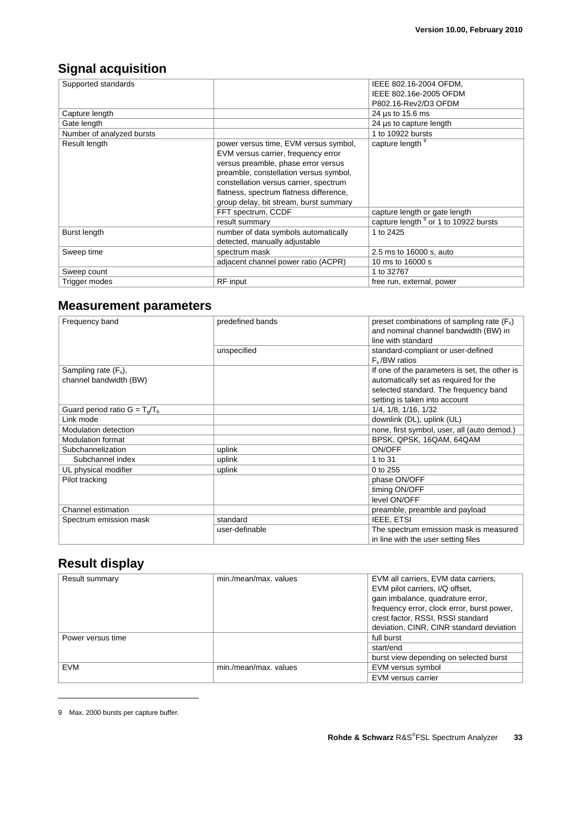### **Signal acquisition**

| Supported standards       |                                         | IEEE 802.16-2004 OFDM,                           |
|---------------------------|-----------------------------------------|--------------------------------------------------|
|                           |                                         | IEEE 802.16e-2005 OFDM                           |
|                           |                                         | P802.16-Rev2/D3 OFDM                             |
| Capture length            |                                         | 24 µs to 15.6 ms                                 |
| Gate length               |                                         | 24 µs to capture length                          |
| Number of analyzed bursts |                                         | 1 to 10922 bursts                                |
| Result length             | power versus time, EVM versus symbol,   | capture length 9                                 |
|                           | EVM versus carrier, frequency error     |                                                  |
|                           | versus preamble, phase error versus     |                                                  |
|                           | preamble, constellation versus symbol,  |                                                  |
|                           | constellation versus carrier, spectrum  |                                                  |
|                           | flatness, spectrum flatness difference, |                                                  |
|                           | group delay, bit stream, burst summary  |                                                  |
|                           | FFT spectrum, CCDF                      | capture length or gate length                    |
|                           | result summary                          | capture length <sup>9</sup> or 1 to 10922 bursts |
| Burst length              | number of data symbols automatically    | 1 to 2425                                        |
|                           | detected, manually adjustable           |                                                  |
| Sweep time                | spectrum mask                           | 2.5 ms to 16000 s, auto                          |
|                           | adjacent channel power ratio (ACPR)     | 10 ms to 16000 s                                 |
| Sweep count               |                                         | 1 to 32767                                       |
| Trigger modes             | <b>RF</b> input                         | free run, external, power                        |

### **Measurement parameters**

| Frequency band                   | predefined bands | preset combinations of sampling rate $(F_s)$  |
|----------------------------------|------------------|-----------------------------------------------|
|                                  |                  | and nominal channel bandwidth (BW) in         |
|                                  |                  | line with standard                            |
|                                  | unspecified      | standard-compliant or user-defined            |
|                                  |                  | $F_s/BW$ ratios                               |
| Sampling rate $(F_s)$ ,          |                  | If one of the parameters is set, the other is |
| channel bandwidth (BW)           |                  | automatically set as required for the         |
|                                  |                  | selected standard. The frequency band         |
|                                  |                  | setting is taken into account                 |
| Guard period ratio $G = T_o/T_b$ |                  | 1/4, 1/8, 1/16, 1/32                          |
| Link mode                        |                  | downlink (DL), uplink (UL)                    |
| <b>Modulation detection</b>      |                  | none, first symbol, user, all (auto demod.)   |
| <b>Modulation format</b>         |                  | BPSK, QPSK, 16QAM, 64QAM                      |
| Subchannelization                | uplink           | ON/OFF                                        |
| Subchannel index                 | uplink           | 1 to 31                                       |
| UL physical modifier             | uplink           | 0 to 255                                      |
| Pilot tracking                   |                  | phase ON/OFF                                  |
|                                  |                  | timing ON/OFF                                 |
|                                  |                  | level ON/OFF                                  |
| Channel estimation               |                  | preamble, preamble and payload                |
| Spectrum emission mask           | standard         | IEEE, ETSI                                    |
|                                  | user-definable   | The spectrum emission mask is measured        |
|                                  |                  | in line with the user setting files           |

### **Result display**

| Result summary    | min./mean/max. values | EVM all carriers, EVM data carriers,<br>EVM pilot carriers, I/Q offset,<br>gain imbalance, quadrature error,<br>frequency error, clock error, burst power,<br>crest factor, RSSI, RSSI standard<br>deviation, CINR, CINR standard deviation |
|-------------------|-----------------------|---------------------------------------------------------------------------------------------------------------------------------------------------------------------------------------------------------------------------------------------|
| Power versus time |                       | full burst                                                                                                                                                                                                                                  |
|                   |                       | start/end                                                                                                                                                                                                                                   |
|                   |                       | burst view depending on selected burst                                                                                                                                                                                                      |
| EVM               | min./mean/max. values | EVM versus symbol                                                                                                                                                                                                                           |
|                   |                       | EVM versus carrier                                                                                                                                                                                                                          |

<sup>9</sup> Max. 2000 bursts per capture buffer.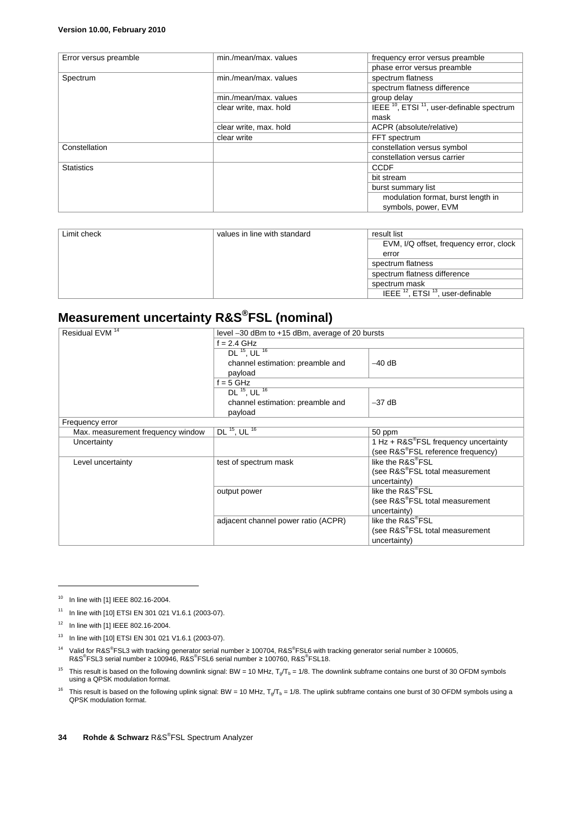| Error versus preamble | min./mean/max. values  | frequency error versus preamble                                   |
|-----------------------|------------------------|-------------------------------------------------------------------|
|                       |                        | phase error versus preamble                                       |
| Spectrum              | min./mean/max. values  | spectrum flatness                                                 |
|                       |                        | spectrum flatness difference                                      |
|                       | min./mean/max. values  | group delay                                                       |
|                       | clear write, max. hold | IEEE <sup>10</sup> , ETSI <sup>11</sup> , user-definable spectrum |
|                       |                        | mask                                                              |
|                       | clear write, max. hold | ACPR (absolute/relative)                                          |
|                       | clear write            | FFT spectrum                                                      |
| Constellation         |                        | constellation versus symbol                                       |
|                       |                        | constellation versus carrier                                      |
| <b>Statistics</b>     |                        | <b>CCDF</b>                                                       |
|                       |                        | bit stream                                                        |
|                       |                        | burst summary list                                                |
|                       |                        | modulation format, burst length in<br>symbols, power, EVM         |

| Limit check | values in line with standard | result list                                              |
|-------------|------------------------------|----------------------------------------------------------|
|             |                              | EVM, I/Q offset, frequency error, clock                  |
|             |                              | error                                                    |
|             |                              | spectrum flatness                                        |
|             |                              | spectrum flatness difference                             |
|             |                              | spectrum mask                                            |
|             |                              | IEEE <sup>12</sup> , ETSI <sup>13</sup> , user-definable |

## **Measurement uncertainty R&S®FSL (nominal)**

| Residual EVM <sup>14</sup>        | level -30 dBm to +15 dBm, average of 20 bursts |                                                   |  |
|-----------------------------------|------------------------------------------------|---------------------------------------------------|--|
|                                   | $f = 2.4$ GHz                                  |                                                   |  |
|                                   | $DL$ <sup>15</sup> , UL <sup>16</sup>          |                                                   |  |
|                                   | channel estimation: preamble and               | $-40$ dB                                          |  |
|                                   | payload                                        |                                                   |  |
|                                   | $f = 5$ GHz                                    |                                                   |  |
|                                   | DL $15$ , UL $16$                              |                                                   |  |
|                                   | channel estimation: preamble and               | $-37$ dB                                          |  |
|                                   | payload                                        |                                                   |  |
| Frequency error                   |                                                |                                                   |  |
| Max. measurement frequency window | DL $15$ , UL $16$                              | 50 ppm                                            |  |
| Uncertainty                       |                                                | 1 Hz + R&S <sup>®</sup> FSL frequency uncertainty |  |
|                                   |                                                | (see R&S <sup>®</sup> FSL reference frequency)    |  |
| Level uncertainty                 | test of spectrum mask                          | like the R&S®FSL                                  |  |
|                                   |                                                | (see R&S <sup>®</sup> FSL total measurement       |  |
|                                   |                                                | uncertainty)                                      |  |
|                                   | output power                                   | like the R&S <sup>®</sup> FSL                     |  |
|                                   |                                                | (see R&S®FSL total measurement                    |  |
|                                   |                                                | uncertainty)                                      |  |
|                                   | adjacent channel power ratio (ACPR)            | like the R&S®FSL                                  |  |
|                                   |                                                | (see R&S <sup>®</sup> FSL total measurement       |  |
|                                   |                                                | uncertainty)                                      |  |

<sup>10</sup> In line with [1] IEEE 802.16-2004.

<sup>&</sup>lt;sup>11</sup> In line with [10] ETSI EN 301 021 V1.6.1 (2003-07).

 $12$  In line with [1] IEEE 802.16-2004.

<sup>13</sup> In line with [10] ETSI EN 301 021 V1.6.1 (2003-07).

<sup>&</sup>lt;sup>14</sup> Valid for R&S<sup>®</sup>FSL3 with tracking generator serial number ≥ 100704, R&S<sup>®</sup>FSL6 with tracking generator serial number ≥ 100605, R&S<sup>®</sup>FSL3 serial number ≥ 100946, R&S<sup>®</sup>FSL6 serial number ≥ 100760, R&S<sup>®</sup>FSL18.

<sup>&</sup>lt;sup>15</sup> This result is based on the following downlink signal: BW = 10 MHz,  $T_g/T_b$  = 1/8. The downlink subframe contains one burst of 30 OFDM symbols using a QPSK modulation format.

<sup>&</sup>lt;sup>16</sup> This result is based on the following uplink signal: BW = 10 MHz,  $T_g/T_b$  = 1/8. The uplink subframe contains one burst of 30 OFDM symbols using a QPSK modulation format.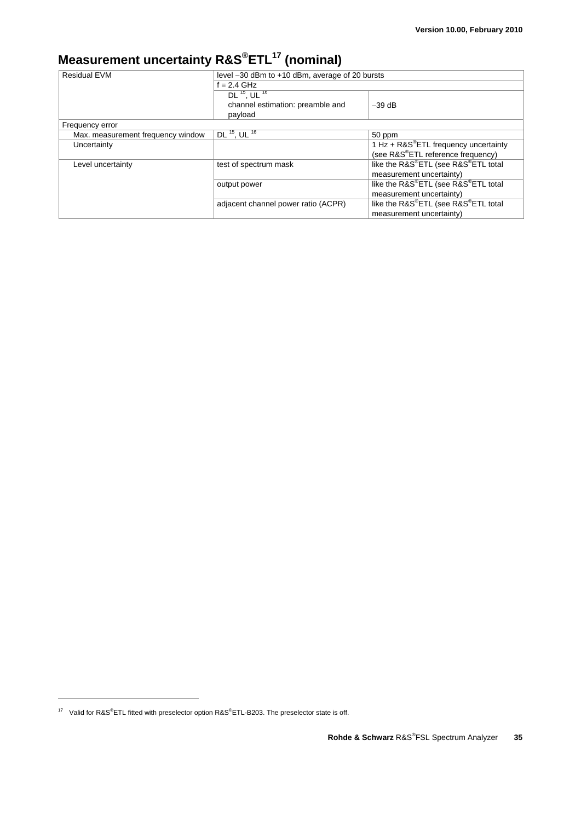## **Measurement uncertainty R&S®ETL17 (nominal)**

| <b>Residual EVM</b>               | level -30 dBm to +10 dBm, average of 20 bursts |                                            |  |
|-----------------------------------|------------------------------------------------|--------------------------------------------|--|
|                                   | $f = 2.4$ GHz                                  |                                            |  |
|                                   | $DL$ <sup>15</sup> , UL <sup>16</sup>          |                                            |  |
|                                   | channel estimation: preamble and               | $-39$ dB                                   |  |
|                                   | payload                                        |                                            |  |
| Frequency error                   |                                                |                                            |  |
| Max. measurement frequency window | DL $^{15}$ , UL $^{16}$                        | 50 ppm                                     |  |
| Uncertainty                       |                                                | $1 Hz + R & S^* ETL$ frequency uncertainty |  |
|                                   |                                                | (see R&S®ETL reference frequency)          |  |
| Level uncertainty                 | test of spectrum mask                          | like the R&S®ETL (see R&S®ETL total        |  |
|                                   |                                                | measurement uncertainty)                   |  |
|                                   | output power                                   | like the R&S®ETL (see R&S®ETL total        |  |
|                                   |                                                | measurement uncertainty)                   |  |
|                                   | adjacent channel power ratio (ACPR)            | like the R&S®ETL (see R&S®ETL total        |  |
|                                   |                                                | measurement uncertainty)                   |  |

<sup>&</sup>lt;sup>17</sup> Valid for R&S<sup>®</sup>ETL fitted with preselector option R&S<sup>®</sup>ETL-B203. The preselector state is off.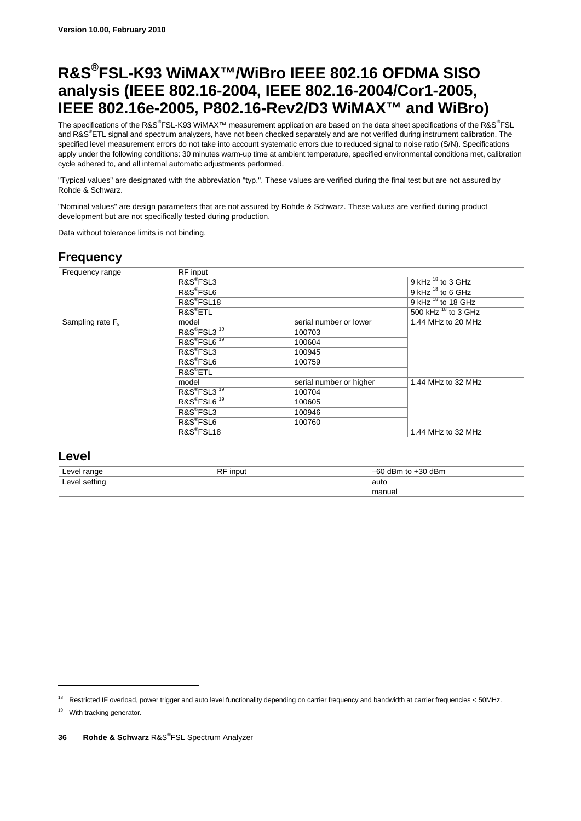## **R&S®FSL-K93 WiMAX™/WiBro IEEE 802.16 OFDMA SISO analysis (IEEE 802.16-2004, IEEE 802.16-2004/Cor1-2005, IEEE 802.16e-2005, P802.16-Rev2/D3 WiMAX™ and WiBro)**

The specifications of the R&S®FSL-K93 WiMAX™ measurement application are based on the data sheet specifications of the R&S®FSL and R&S<sup>®</sup>ETL signal and spectrum analyzers, have not been checked separately and are not verified during instrument calibration. The specified level measurement errors do not take into account systematic errors due to reduced signal to noise ratio (S/N). Specifications apply under the following conditions: 30 minutes warm-up time at ambient temperature, specified environmental conditions met, calibration cycle adhered to, and all internal automatic adjustments performed.

"Typical values" are designated with the abbreviation "typ.". These values are verified during the final test but are not assured by Rohde & Schwarz.

"Nominal values" are design parameters that are not assured by Rohde & Schwarz. These values are verified during product development but are not specifically tested during production.

Data without tolerance limits is not binding.

### **Frequency**

| Frequency range     | RF input                            |                         |                          |
|---------------------|-------------------------------------|-------------------------|--------------------------|
|                     | R&S <sup>®</sup> FSL3               |                         | 9 kHz $^{18}$ to 3 GHz   |
|                     | R&S <sup>®</sup> FSL6               |                         | 9 kHz $^{18}$ to 6 GHz   |
|                     | R&S <sup>®</sup> FSL18              |                         | 9 kHz $^{18}$ to 18 GHz  |
|                     | R&S <sup>®</sup> ETL                |                         | 500 kHz $^{18}$ to 3 GHz |
| Sampling rate $F_s$ | model                               | serial number or lower  | 1.44 MHz to 20 MHz       |
|                     | R&S®FSL3 <sup>19</sup>              | 100703                  |                          |
|                     | R&S <sup>®</sup> FSL6 <sup>19</sup> | 100604                  |                          |
|                     | R&S <sup>®</sup> FSL3               | 100945                  |                          |
|                     | R&S <sup>®</sup> FSL6               | 100759                  |                          |
|                     | $RAS^{\circ}ETL$                    |                         |                          |
|                     | model                               | serial number or higher | 1.44 MHz to 32 MHz       |
|                     | R&S®FSL3 <sup>19</sup>              | 100704                  |                          |
|                     | R&S®FSL6 <sup>19</sup>              | 100605                  |                          |
|                     | R&S <sup>®</sup> FSL3               | 100946                  |                          |
|                     | R&S <sup>®</sup> FSL6               | 100760                  |                          |
|                     | R&S <sup>®</sup> FSL18              |                         | 1.44 MHz to 32 MHz       |

#### **Level**

| Level range   | <b>RF</b> input | to +30 dBm<br>dBm<br>-60 |
|---------------|-----------------|--------------------------|
| Level setting |                 | auto                     |
|               |                 | manual                   |

<sup>&</sup>lt;sup>18</sup> Restricted IF overload, power trigger and auto level functionality depending on carrier frequency and bandwidth at carrier frequencies < 50MHz.

<sup>&</sup>lt;sup>19</sup> With tracking generator.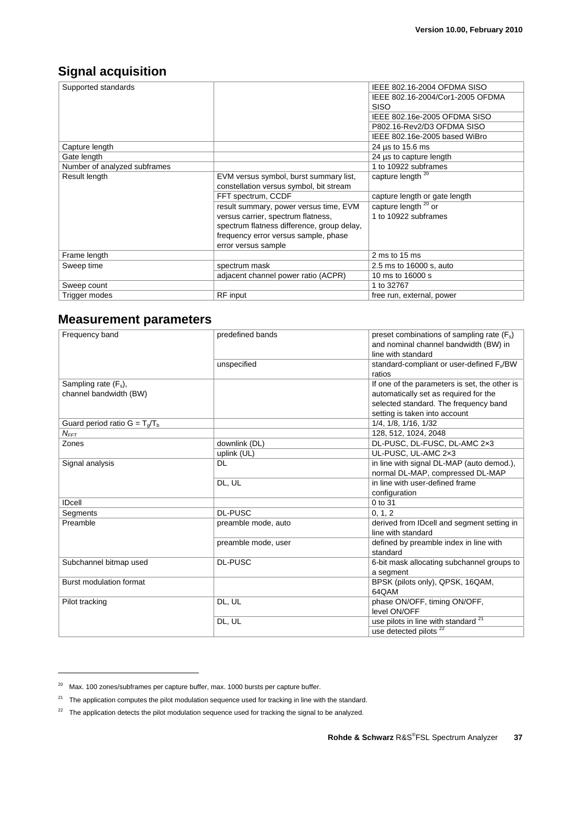### **Signal acquisition**

| Supported standards          |                                            | IEEE 802.16-2004 OFDMA SISO      |
|------------------------------|--------------------------------------------|----------------------------------|
|                              |                                            | IEEE 802.16-2004/Cor1-2005 OFDMA |
|                              |                                            | <b>SISO</b>                      |
|                              |                                            | IEEE 802.16e-2005 OFDMA SISO     |
|                              |                                            | P802.16-Rev2/D3 OFDMA SISO       |
|                              |                                            | IEEE 802.16e-2005 based WiBro    |
| Capture length               |                                            | 24 µs to 15.6 ms                 |
| Gate length                  |                                            | 24 µs to capture length          |
| Number of analyzed subframes |                                            | 1 to 10922 subframes             |
| Result length                | EVM versus symbol, burst summary list,     | capture length <sup>20</sup>     |
|                              | constellation versus symbol, bit stream    |                                  |
|                              | FFT spectrum, CCDF                         | capture length or gate length    |
|                              | result summary, power versus time, EVM     | capture length <sup>20</sup> or  |
|                              | versus carrier, spectrum flatness,         | 1 to 10922 subframes             |
|                              | spectrum flatness difference, group delay, |                                  |
|                              | frequency error versus sample, phase       |                                  |
|                              | error versus sample                        |                                  |
| Frame length                 |                                            | 2 ms to 15 ms                    |
| Sweep time                   | spectrum mask                              | 2.5 ms to 16000 s, auto          |
|                              | adjacent channel power ratio (ACPR)        | 10 ms to 16000 s                 |
| Sweep count                  |                                            | 1 to 32767                       |
| Trigger modes                | RF input                                   | free run, external, power        |

### **Measurement parameters**

| Frequency band                   | predefined bands    | preset combinations of sampling rate $(F_s)$<br>and nominal channel bandwidth (BW) in<br>line with standard |
|----------------------------------|---------------------|-------------------------------------------------------------------------------------------------------------|
|                                  | unspecified         | standard-compliant or user-defined F <sub>s</sub> /BW<br>ratios                                             |
| Sampling rate $(F_s)$ ,          |                     | If one of the parameters is set, the other is                                                               |
| channel bandwidth (BW)           |                     | automatically set as required for the                                                                       |
|                                  |                     | selected standard. The frequency band                                                                       |
|                                  |                     | setting is taken into account                                                                               |
| Guard period ratio $G = T_q/T_b$ |                     | 1/4, 1/8, 1/16, 1/32                                                                                        |
| $N_{FFT}$                        |                     | 128, 512, 1024, 2048                                                                                        |
| Zones                            | downlink (DL)       | DL-PUSC, DL-FUSC, DL-AMC 2x3                                                                                |
|                                  | uplink (UL)         | UL-PUSC, UL-AMC 2x3                                                                                         |
| Signal analysis                  | DL                  | in line with signal DL-MAP (auto demod.),                                                                   |
|                                  |                     | normal DL-MAP, compressed DL-MAP                                                                            |
|                                  | DL, UL              | in line with user-defined frame                                                                             |
|                                  |                     | configuration                                                                                               |
| <b>IDcell</b>                    |                     | 0 to 31                                                                                                     |
| Segments                         | <b>DL-PUSC</b>      | 0, 1, 2                                                                                                     |
| Preamble                         | preamble mode, auto | derived from IDcell and segment setting in<br>line with standard                                            |
|                                  | preamble mode, user | defined by preamble index in line with<br>standard                                                          |
| Subchannel bitmap used           | <b>DL-PUSC</b>      | 6-bit mask allocating subchannel groups to<br>a segment                                                     |
| <b>Burst modulation format</b>   |                     | BPSK (pilots only), QPSK, 16QAM,<br>64QAM                                                                   |
| Pilot tracking                   | DL, UL              | phase ON/OFF, timing ON/OFF,<br>level ON/OFF                                                                |
|                                  | DL, UL              | use pilots in line with standard <sup>21</sup>                                                              |
|                                  |                     | use detected pilots <sup>22</sup>                                                                           |

-

 $20$  Max. 100 zones/subframes per capture buffer, max. 1000 bursts per capture buffer.

 $21$  The application computes the pilot modulation sequence used for tracking in line with the standard.

 $22$  The application detects the pilot modulation sequence used for tracking the signal to be analyzed.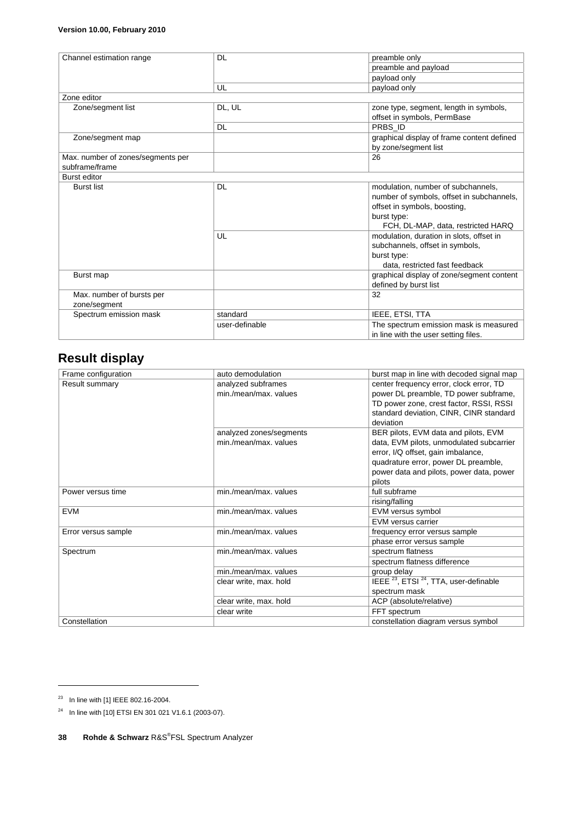#### **Version 10.00, February 2010**

| Channel estimation range          | DL             | preamble only                              |
|-----------------------------------|----------------|--------------------------------------------|
|                                   |                | preamble and payload                       |
|                                   |                | payload only                               |
|                                   | UL             | payload only                               |
| Zone editor                       |                |                                            |
| Zone/segment list                 | DL, UL         | zone type, segment, length in symbols,     |
|                                   |                | offset in symbols, PermBase                |
|                                   | DL             | PRBS ID                                    |
| Zone/segment map                  |                | graphical display of frame content defined |
|                                   |                | by zone/segment list                       |
| Max. number of zones/segments per |                | 26                                         |
| subframe/frame                    |                |                                            |
| <b>Burst editor</b>               |                |                                            |
| <b>Burst list</b>                 | DL             | modulation, number of subchannels,         |
|                                   |                | number of symbols, offset in subchannels,  |
|                                   |                | offset in symbols, boosting,               |
|                                   |                | burst type:                                |
|                                   |                | FCH, DL-MAP, data, restricted HARQ         |
|                                   | UL             | modulation, duration in slots, offset in   |
|                                   |                | subchannels, offset in symbols,            |
|                                   |                | burst type:                                |
|                                   |                | data, restricted fast feedback             |
| Burst map                         |                | graphical display of zone/segment content  |
|                                   |                | defined by burst list                      |
| Max. number of bursts per         |                | 32                                         |
| zone/segment                      |                |                                            |
| Spectrum emission mask            | standard       | IEEE, ETSI, TTA                            |
|                                   | user-definable | The spectrum emission mask is measured     |
|                                   |                | in line with the user setting files.       |

## **Result display**

| Frame configuration | auto demodulation       | burst map in line with decoded signal map                     |
|---------------------|-------------------------|---------------------------------------------------------------|
| Result summary      | analyzed subframes      | center frequency error, clock error, TD                       |
|                     | min./mean/max. values   | power DL preamble, TD power subframe,                         |
|                     |                         | TD power zone, crest factor, RSSI, RSSI                       |
|                     |                         | standard deviation, CINR, CINR standard                       |
|                     |                         | deviation                                                     |
|                     | analyzed zones/segments | BER pilots, EVM data and pilots, EVM                          |
|                     | min./mean/max. values   | data, EVM pilots, unmodulated subcarrier                      |
|                     |                         | error, I/Q offset, gain imbalance,                            |
|                     |                         | quadrature error, power DL preamble,                          |
|                     |                         | power data and pilots, power data, power<br>pilots            |
| Power versus time   | min./mean/max. values   | full subframe                                                 |
|                     |                         | rising/falling                                                |
| <b>EVM</b>          | min./mean/max. values   | EVM versus symbol                                             |
|                     |                         | EVM versus carrier                                            |
| Error versus sample | min./mean/max. values   | frequency error versus sample                                 |
|                     |                         | phase error versus sample                                     |
| Spectrum            | min./mean/max. values   | spectrum flatness                                             |
|                     |                         | spectrum flatness difference                                  |
|                     | min./mean/max. values   | group delay                                                   |
|                     | clear write, max. hold  | IEEE <sup>23</sup> , ETSI <sup>24</sup> , TTA, user-definable |
|                     |                         | spectrum mask                                                 |
|                     | clear write, max. hold  | ACP (absolute/relative)                                       |
|                     | clear write             | FFT spectrum                                                  |
| Constellation       |                         | constellation diagram versus symbol                           |

<sup>&</sup>lt;sup>23</sup> In line with [1] IEEE 802.16-2004.

<sup>&</sup>lt;sup>24</sup> In line with [10] ETSI EN 301 021 V1.6.1 (2003-07).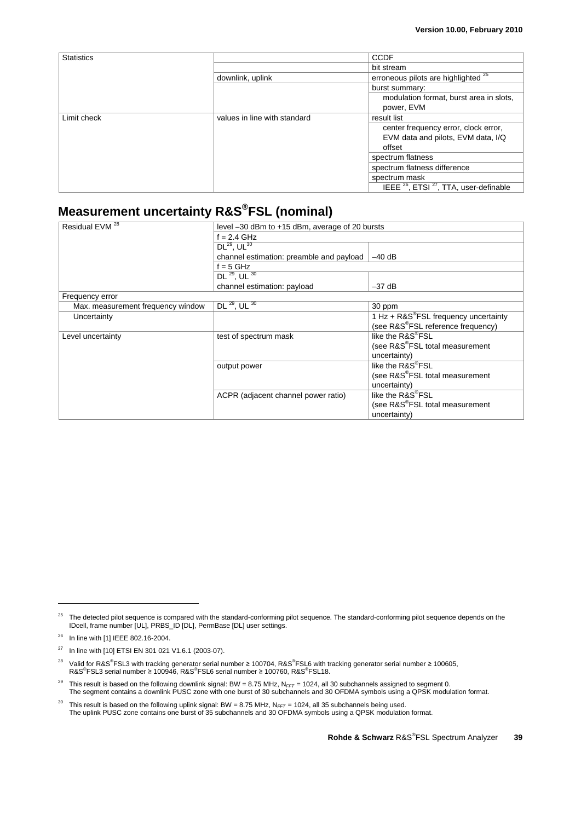| <b>Statistics</b> |                              | CCDF                                                                                 |
|-------------------|------------------------------|--------------------------------------------------------------------------------------|
|                   |                              | bit stream                                                                           |
|                   | downlink, uplink             | erroneous pilots are highlighted <sup>25</sup>                                       |
|                   |                              | burst summary:                                                                       |
|                   |                              | modulation format, burst area in slots,                                              |
|                   |                              | power, EVM                                                                           |
| Limit check       | values in line with standard | result list                                                                          |
|                   |                              | center frequency error, clock error,<br>EVM data and pilots, EVM data, I/Q<br>offset |
|                   |                              | spectrum flatness                                                                    |
|                   |                              | spectrum flatness difference                                                         |
|                   |                              | spectrum mask                                                                        |
|                   |                              | IEEE <sup>26</sup> , ETSI <sup>27</sup> , TTA, user-definable                        |

## **Measurement uncertainty R&S®FSL (nominal)**

| Residual EVM <sup>28</sup>        | level -30 dBm to +15 dBm, average of 20 bursts       |                                                   |  |
|-----------------------------------|------------------------------------------------------|---------------------------------------------------|--|
|                                   | $f = 2.4$ GHz                                        |                                                   |  |
|                                   | $DL^{29}$ , UL $^{30}$                               |                                                   |  |
|                                   | $-40$ dB<br>channel estimation: preamble and payload |                                                   |  |
|                                   | $f = 5$ GHz                                          |                                                   |  |
|                                   | DL <sup>29</sup> , UL <sup>30</sup>                  |                                                   |  |
|                                   | channel estimation: payload                          | $-37$ dB                                          |  |
| Frequency error                   |                                                      |                                                   |  |
| Max. measurement frequency window | DL $^{29}$ , UL $^{30}$                              | 30 ppm                                            |  |
| Uncertainty                       |                                                      | 1 Hz + R&S <sup>®</sup> FSL frequency uncertainty |  |
|                                   |                                                      | (see R&S®FSL reference frequency)                 |  |
| Level uncertainty                 | test of spectrum mask                                | like the R&S <sup>®</sup> FSL                     |  |
|                                   |                                                      | (see R&S <sup>®</sup> FSL total measurement       |  |
|                                   |                                                      | uncertainty)                                      |  |
|                                   | output power                                         | like the R&S <sup>®</sup> FSL                     |  |
|                                   |                                                      | (see R&S®FSL total measurement                    |  |
|                                   |                                                      | uncertainty)                                      |  |
|                                   | ACPR (adjacent channel power ratio)                  | like the R&S®FSL                                  |  |
|                                   |                                                      | (see R&S®FSL total measurement                    |  |
|                                   |                                                      | uncertainty)                                      |  |

<sup>&</sup>lt;sup>25</sup> The detected pilot sequence is compared with the standard-conforming pilot sequence. The standard-conforming pilot sequence depends on the IDcell, frame number [UL], PRBS\_ID [DL], PermBase [DL] user settings.

<sup>26</sup> In line with [1] IEEE 802.16-2004.

<sup>27</sup> In line with [10] ETSI EN 301 021 V1.6.1 (2003-07).

<sup>&</sup>lt;sup>28</sup> Valid for R&S<sup>®</sup>FSL3 with tracking generator serial number ≥ 100704, R&S®FSL6 with tracking generator serial number ≥ 100605, R&S<sup>®</sup>FSL3 serial number ≥ 100946, R&S<sup>®</sup>FSL6 serial number ≥ 100760, R&S<sup>®</sup>FSL18.

<sup>&</sup>lt;sup>29</sup> This result is based on the following downlink signal: BW = 8.75 MHz,  $N_{FFT}$  = 1024, all 30 subchannels assigned to segment 0. The segment contains a downlink PUSC zone with one burst of 30 subchannels and 30 OFDMA symbols using a QPSK modulation format.

<sup>&</sup>lt;sup>30</sup> This result is based on the following uplink signal: BW = 8.75 MHz,  $N_{FFT}$  = 1024, all 35 subchannels being used.<br>The uplink PUSC zone contains one burst of 35 subchannels and 30 OFDMA symbols using a QPSK modulation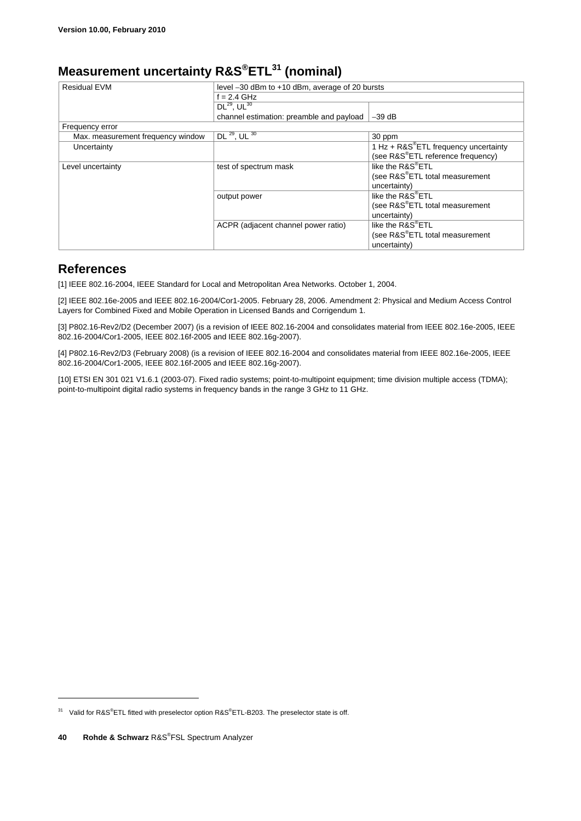## **Measurement uncertainty R&S®ETL31 (nominal)**

| <b>Residual EVM</b>               | level -30 dBm to +10 dBm, average of 20 bursts |                                             |  |
|-----------------------------------|------------------------------------------------|---------------------------------------------|--|
|                                   | $f = 2.4$ GHz                                  |                                             |  |
|                                   | $DL^{29}$ , UL $^{30}$                         |                                             |  |
|                                   | channel estimation: preamble and payload       | $-39$ dB                                    |  |
| Frequency error                   |                                                |                                             |  |
| Max. measurement frequency window | $DL^{29}$ , UL $30$                            | 30 ppm                                      |  |
| Uncertainty                       |                                                | 1 Hz + R&S®ETL frequency uncertainty        |  |
|                                   |                                                | (see R&S®ETL reference frequency)           |  |
| Level uncertainty                 | test of spectrum mask                          | like the R&S®ETL                            |  |
|                                   |                                                | (see R&S <sup>®</sup> ETL total measurement |  |
|                                   |                                                | uncertainty)                                |  |
|                                   | output power                                   | like the R&S®ETL                            |  |
|                                   |                                                | (see R&S®ETL total measurement              |  |
|                                   |                                                | uncertainty)                                |  |
|                                   | ACPR (adjacent channel power ratio)            | like the R&S®ETL                            |  |
|                                   |                                                | (see R&S <sup>®</sup> ETL total measurement |  |
|                                   |                                                | uncertainty)                                |  |

### **References**

[1] IEEE 802.16-2004, IEEE Standard for Local and Metropolitan Area Networks. October 1, 2004.

[2] IEEE 802.16e-2005 and IEEE 802.16-2004/Cor1-2005. February 28, 2006. Amendment 2: Physical and Medium Access Control Layers for Combined Fixed and Mobile Operation in Licensed Bands and Corrigendum 1.

[3] P802.16-Rev2/D2 (December 2007) (is a revision of IEEE 802.16-2004 and consolidates material from IEEE 802.16e-2005, IEEE 802.16-2004/Cor1-2005, IEEE 802.16f-2005 and IEEE 802.16g-2007).

[4] P802.16-Rev2/D3 (February 2008) (is a revision of IEEE 802.16-2004 and consolidates material from IEEE 802.16e-2005, IEEE 802.16-2004/Cor1-2005, IEEE 802.16f-2005 and IEEE 802.16g-2007).

[10] ETSI EN 301 021 V1.6.1 (2003-07). Fixed radio systems; point-to-multipoint equipment; time division multiple access (TDMA); point-to-multipoint digital radio systems in frequency bands in the range 3 GHz to 11 GHz.

<sup>&</sup>lt;sup>31</sup> Valid for R&S<sup>®</sup>ETL fitted with preselector option R&S<sup>®</sup>ETL-B203. The preselector state is off.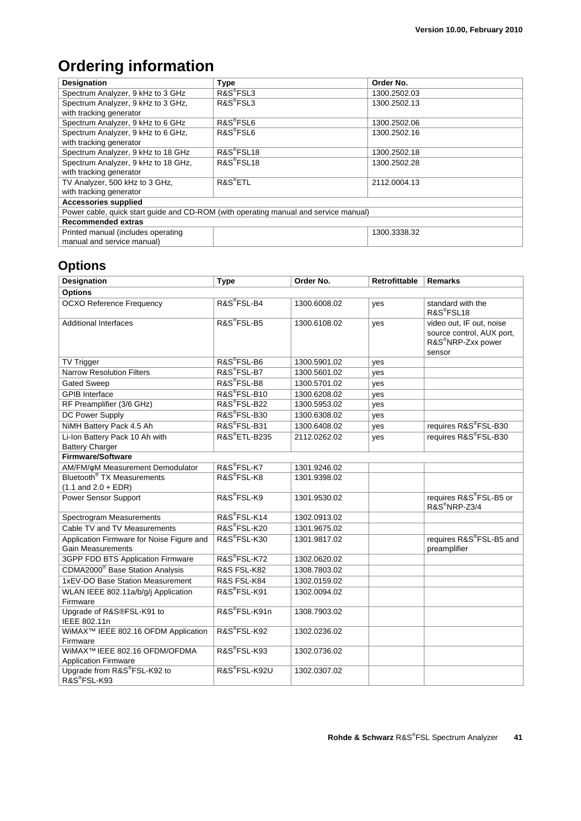## **Ordering information**

| <b>Designation</b>                                                                   | <b>Type</b>            | Order No.    |  |
|--------------------------------------------------------------------------------------|------------------------|--------------|--|
| Spectrum Analyzer, 9 kHz to 3 GHz                                                    | R&S <sup>®</sup> FSL3  | 1300.2502.03 |  |
| Spectrum Analyzer, 9 kHz to 3 GHz,                                                   | R&S <sup>®</sup> FSL3  | 1300.2502.13 |  |
| with tracking generator                                                              |                        |              |  |
| Spectrum Analyzer, 9 kHz to 6 GHz                                                    | R&S <sup>®</sup> FSL6  | 1300.2502.06 |  |
| Spectrum Analyzer, 9 kHz to 6 GHz,                                                   | R&S <sup>®</sup> FSL6  | 1300.2502.16 |  |
| with tracking generator                                                              |                        |              |  |
| Spectrum Analyzer, 9 kHz to 18 GHz                                                   | R&S <sup>®</sup> FSL18 | 1300.2502.18 |  |
| Spectrum Analyzer, 9 kHz to 18 GHz,                                                  | R&S <sup>®</sup> FSL18 | 1300.2502.28 |  |
| with tracking generator                                                              |                        |              |  |
| TV Analyzer, 500 kHz to 3 GHz,                                                       | R&S <sup>®</sup> ETL   | 2112.0004.13 |  |
| with tracking generator                                                              |                        |              |  |
| <b>Accessories supplied</b>                                                          |                        |              |  |
| Power cable, quick start guide and CD-ROM (with operating manual and service manual) |                        |              |  |
| Recommended extras                                                                   |                        |              |  |
| Printed manual (includes operating                                                   |                        | 1300.3338.32 |  |
| manual and service manual)                                                           |                        |              |  |

## **Options**

| <b>Designation</b>                                          | <b>Type</b>               | Order No.    | <b>Retrofittable</b> | <b>Remarks</b>                                                        |
|-------------------------------------------------------------|---------------------------|--------------|----------------------|-----------------------------------------------------------------------|
| <b>Options</b>                                              |                           |              |                      |                                                                       |
| <b>OCXO Reference Frequency</b>                             | R&S <sup>®</sup> FSL-B4   | 1300.6008.02 | yes                  | standard with the<br>R&S®FSL18                                        |
| <b>Additional Interfaces</b>                                | R&S <sup>®</sup> FSL-B5   | 1300.6108.02 | yes                  | video out, IF out, noise                                              |
|                                                             |                           |              |                      | source control, AUX port,<br>R&S <sup>®</sup> NRP-Zxx power<br>sensor |
| TV Trigger                                                  | R&S®FSL-B6                | 1300.5901.02 | yes                  |                                                                       |
| <b>Narrow Resolution Filters</b>                            | R&S <sup>®</sup> FSL-B7   | 1300.5601.02 | yes                  |                                                                       |
| <b>Gated Sweep</b>                                          | R&S <sup>®</sup> FSL-B8   | 1300.5701.02 | yes                  |                                                                       |
| <b>GPIB</b> Interface                                       | R&S®FSL-B10               | 1300.6208.02 | yes                  |                                                                       |
| RF Preamplifier (3/6 GHz)                                   | R&S®FSL-B22               | 1300.5953.02 | yes                  |                                                                       |
| DC Power Supply                                             | R&S <sup>®</sup> FSL-B30  | 1300.6308.02 | yes                  |                                                                       |
| NiMH Battery Pack 4.5 Ah                                    | R&S®FSL-B31               | 1300.6408.02 | yes                  | requires R&S®FSL-B30                                                  |
| Li-Ion Battery Pack 10 Ah with                              | R&S <sup>®</sup> ETL-B235 | 2112.0262.02 | yes                  | requires R&S®FSL-B30                                                  |
| <b>Battery Charger</b>                                      |                           |              |                      |                                                                       |
| <b>Firmware/Software</b>                                    |                           |              |                      |                                                                       |
| AM/FM/oM Measurement Demodulator                            | R&S <sup>®</sup> FSL-K7   | 1301.9246.02 |                      |                                                                       |
| Bluetooth <sup>®</sup> TX Measurements                      | R&S <sup>®</sup> FSL-K8   | 1301.9398.02 |                      |                                                                       |
| $(1.1$ and $2.0 + EDR)$                                     |                           |              |                      |                                                                       |
| Power Sensor Support                                        | R&S®FSL-K9                | 1301.9530.02 |                      | requires R&S®FSL-B5 or<br>R&S <sup>®</sup> NRP-Z3/4                   |
| Spectrogram Measurements                                    | R&S®FSL-K14               | 1302.0913.02 |                      |                                                                       |
| Cable TV and TV Measurements                                | R&S®FSL-K20               | 1301.9675.02 |                      |                                                                       |
| Application Firmware for Noise Figure and                   | R&S®FSL-K30               | 1301.9817.02 |                      | requires R&S®FSL-B5 and                                               |
| <b>Gain Measurements</b>                                    |                           |              |                      | preamplifier                                                          |
| 3GPP FDD BTS Application Firmware                           | R&S®FSL-K72               | 1302.0620.02 |                      |                                                                       |
| CDMA2000 <sup>®</sup> Base Station Analysis                 | R&S FSL-K82               | 1308.7803.02 |                      |                                                                       |
| 1xEV-DO Base Station Measurement                            | R&S FSL-K84               | 1302.0159.02 |                      |                                                                       |
| WLAN IEEE 802.11a/b/g/j Application<br>Firmware             | R&S®FSL-K91               | 1302.0094.02 |                      |                                                                       |
| Upgrade of R&S®FSL-K91 to<br>IEEE 802.11n                   | R&S®FSL-K91n              | 1308.7903.02 |                      |                                                                       |
| WiMAX <sup>™</sup> IEEE 802.16 OFDM Application<br>Firmware | R&S®FSL-K92               | 1302.0236.02 |                      |                                                                       |
| WiMAX™ IEEE 802.16 OFDM/OFDMA                               | R&S®FSL-K93               | 1302.0736.02 |                      |                                                                       |
| <b>Application Firmware</b>                                 |                           |              |                      |                                                                       |
| Upgrade from R&S®FSL-K92 to<br>R&S®FSL-K93                  | R&S®FSL-K92U              | 1302.0307.02 |                      |                                                                       |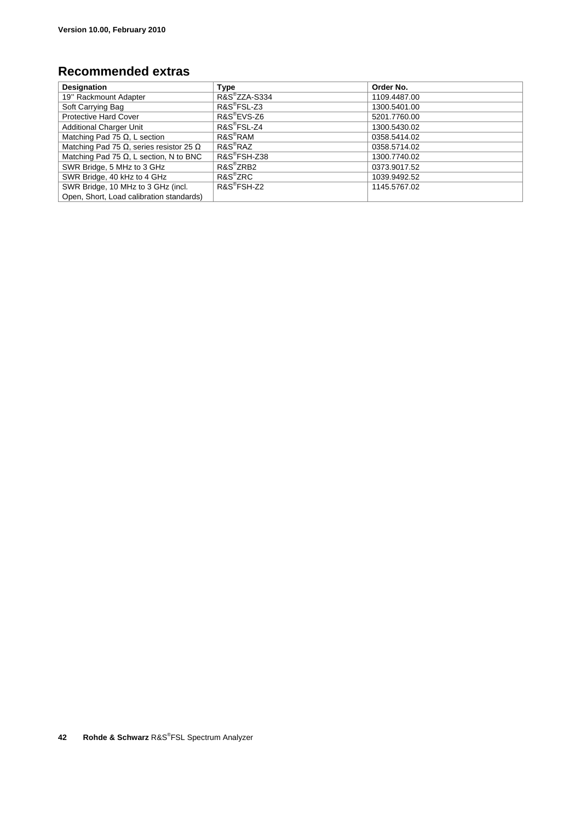### **Recommended extras**

| <b>Designation</b>                                     | Type                    | Order No.    |
|--------------------------------------------------------|-------------------------|--------------|
| 19" Rackmount Adapter                                  | R&S®ZZA-S334            | 1109.4487.00 |
| Soft Carrying Bag                                      | R&S <sup>®</sup> FSL-Z3 | 1300.5401.00 |
| <b>Protective Hard Cover</b>                           | R&S <sup>®</sup> EVS-Z6 | 5201.7760.00 |
| <b>Additional Charger Unit</b>                         | $RAS^{\circ}$ FSL-Z4    | 1300.5430.02 |
| Matching Pad 75 $\Omega$ , L section                   | R&S <sup>®</sup> RAM    | 0358.5414.02 |
| Matching Pad 75 $\Omega$ , series resistor 25 $\Omega$ | $R\&S^{\circledR}R\&AZ$ | 0358.5714.02 |
| Matching Pad 75 $\Omega$ , L section, N to BNC         | R&S®FSH-Z38             | 1300.7740.02 |
| SWR Bridge, 5 MHz to 3 GHz                             | R&S <sup>®</sup> ZRB2   | 0373.9017.52 |
| SWR Bridge, 40 kHz to 4 GHz                            | $RAS^{\circ}ZRC$        | 1039.9492.52 |
| SWR Bridge, 10 MHz to 3 GHz (incl.                     | R&S <sup>®</sup> FSH-Z2 | 1145.5767.02 |
| Open, Short, Load calibration standards)               |                         |              |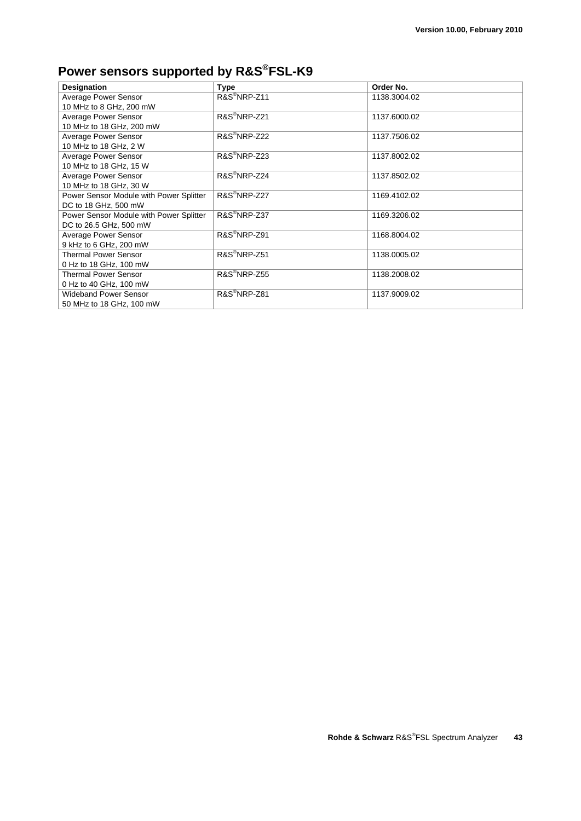## **Power sensors supported by R&S®FSL-K9**

| <b>Designation</b>                      | <b>Type</b>              | Order No.    |
|-----------------------------------------|--------------------------|--------------|
| Average Power Sensor                    | R&S <sup>®</sup> NRP-Z11 | 1138.3004.02 |
| 10 MHz to 8 GHz, 200 mW                 |                          |              |
| Average Power Sensor                    | R&S <sup>®</sup> NRP-Z21 | 1137.6000.02 |
| 10 MHz to 18 GHz, 200 mW                |                          |              |
| Average Power Sensor                    | R&S <sup>®</sup> NRP-Z22 | 1137.7506.02 |
| 10 MHz to 18 GHz, 2 W                   |                          |              |
| Average Power Sensor                    | $R\&S^{\circ}NRP$ -Z23   | 1137.8002.02 |
| 10 MHz to 18 GHz, 15 W                  |                          |              |
| Average Power Sensor                    | R&S <sup>®</sup> NRP-Z24 | 1137.8502.02 |
| 10 MHz to 18 GHz, 30 W                  |                          |              |
| Power Sensor Module with Power Splitter | R&S <sup>®</sup> NRP-Z27 | 1169.4102.02 |
| DC to 18 GHz, 500 mW                    |                          |              |
| Power Sensor Module with Power Splitter | R&S <sup>®</sup> NRP-Z37 | 1169.3206.02 |
| DC to 26.5 GHz, 500 mW                  |                          |              |
| Average Power Sensor                    | R&S <sup>®</sup> NRP-Z91 | 1168.8004.02 |
| 9 kHz to 6 GHz, 200 mW                  |                          |              |
| <b>Thermal Power Sensor</b>             | R&S <sup>®</sup> NRP-Z51 | 1138.0005.02 |
| 0 Hz to 18 GHz, 100 mW                  |                          |              |
| <b>Thermal Power Sensor</b>             | R&S <sup>®</sup> NRP-Z55 | 1138.2008.02 |
| 0 Hz to 40 GHz, 100 mW                  |                          |              |
| <b>Wideband Power Sensor</b>            | R&S <sup>®</sup> NRP-Z81 | 1137.9009.02 |
| 50 MHz to 18 GHz, 100 mW                |                          |              |